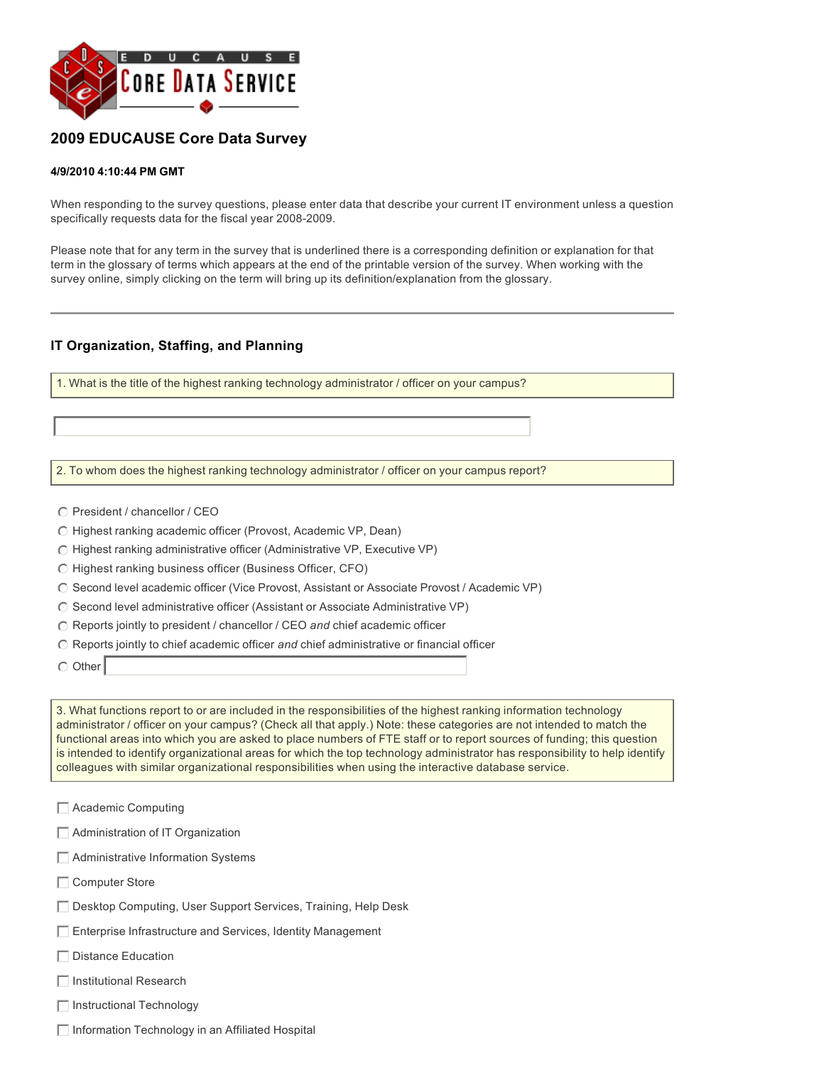

# **2009 EDUCAUSE Core Data Survey**

#### **4/9/2010 4:10:44 PM GMT**

When responding to the survey questions, please enter data that describe your current IT environment unless a question specifically requests data for the fiscal year 2008-2009.

Please note that for any term in the survey that is underlined there is a corresponding definition or explanation for that term in the glossary of terms which appears at the end of the printable version of the survey. When working with the survey online, simply clicking on the term will bring up its definition/explanation from the glossary.

#### **IT Organization, Staffing, and Planning**

1. What is the title of the highest ranking technology administrator / officer on your campus?

2. To whom does the highest ranking technology administrator / officer on your campus report?

- $\odot$  President / chancellor / CEO
- $\odot$  Highest ranking academic officer (Provost, Academic VP, Dean)
- $\bigcirc$  Highest ranking administrative officer (Administrative VP, Executive VP)
- $\odot$  Highest ranking business officer (Business Officer, CFO)
- C Second level academic officer (Vice Provost, Assistant or Associate Provost / Academic VP)
- $\odot$  Second level administrative officer (Assistant or Associate Administrative VP)
- $\bigcirc$  Reports jointly to president / chancellor / CEO and chief academic officer
- $\bigcirc$  Reports jointly to chief academic officer and chief administrative or financial officer
- $\circ$  Other

3. What functions report to or are included in the responsibilities of the highest ranking information technology administrator / officer on your campus? (Check all that apply.) Note: these categories are not intended to match the functional areas into which you are asked to place numbers of FTE staff or to report sources of funding; this question is intended to identify organizational areas for which the top technology administrator has responsibility to help identify colleagues with similar organizational responsibilities when using the interactive database service.

- $\Box$  Academic Computing
- $\Box$  Administration of IT Organization
- $\Box$  Administrative Information Systems
- $\Box$  Computer Store
- **Follow Desktop Computing, User Support Services, Training, Help Desk**
- $\Box$  Enterprise Infrastructure and Services, Identity Management
- $\Box$  Distance Education
- $\Box$  Institutional Research
- $\Box$  Instructional Technology
- $\Box$  Information Technology in an Affiliated Hospital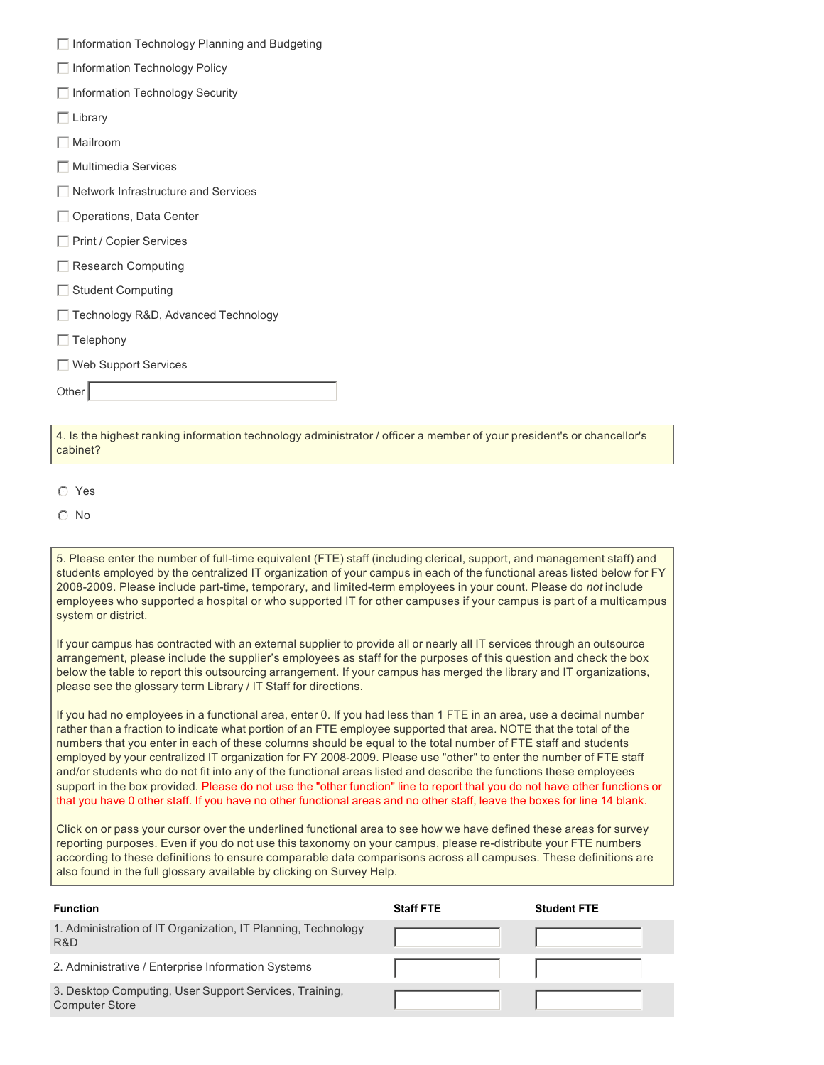|  | Information Technology Planning and Budgeting |  |  |  |
|--|-----------------------------------------------|--|--|--|
|--|-----------------------------------------------|--|--|--|

- $\Box$  Information Technology Policy
- $\Box$  Information Technology Security
- $\Box$  Library
- $\Box$  Mailroom
- $\Box$  Multimedia Services
- $\Box$  Network Infrastructure and Services
- $\Box$  Operations, Data Center
- $\Box$  Print / Copier Services
- $\Box$  Research Computing
- $\Box$  Student Computing
- $\Box$  Technology R&D, Advanced Technology
- $\Box$  Telephony
- $\Box$  Web Support Services

Other

4. Is the highest ranking information technology administrator / officer a member of your president's or chancellor's cabinet?

- $O$  Yes
- $\odot$  No

5. Please enter the number of full-time equivalent (FTE) staff (including clerical, support, and management staff) and students employed by the centralized IT organization of your campus in each of the functional areas listed below for FY 20082009. Please include parttime, temporary, and limitedterm employees in your count. Please do *not* include employees who supported a hospital or who supported IT for other campuses if your campus is part of a multicampus system or district.

If your campus has contracted with an external supplier to provide all or nearly all IT services through an outsource arrangement, please include the supplier's employees as staff for the purposes of this question and check the box below the table to report this outsourcing arrangement. If your campus has merged the library and IT organizations, please see the glossary term Library / IT Staff for directions.

If you had no employees in a functional area, enter 0. If you had less than 1 FTE in an area, use a decimal number rather than a fraction to indicate what portion of an FTE employee supported that area. NOTE that the total of the numbers that you enter in each of these columns should be equal to the total number of FTE staff and students employed by your centralized IT organization for FY 2008-2009. Please use "other" to enter the number of FTE staff and/or students who do not fit into any of the functional areas listed and describe the functions these employees support in the box provided. Please do not use the "other function" line to report that you do not have other functions or that you have 0 other staff. If you have no other functional areas and no other staff, leave the boxes for line 14 blank.

Click on or pass your cursor over the underlined functional area to see how we have defined these areas for survey reporting purposes. Even if you do not use this taxonomy on your campus, please re-distribute your FTE numbers according to these definitions to ensure comparable data comparisons across all campuses. These definitions are also found in the full glossary available by clicking on Survey Help.

| <b>Function</b>                                                                 | <b>Staff FTE</b> | <b>Student FTE</b> |
|---------------------------------------------------------------------------------|------------------|--------------------|
| 1. Administration of IT Organization, IT Planning, Technology<br>R&D            |                  |                    |
| 2. Administrative / Enterprise Information Systems                              |                  |                    |
| 3. Desktop Computing, User Support Services, Training,<br><b>Computer Store</b> |                  |                    |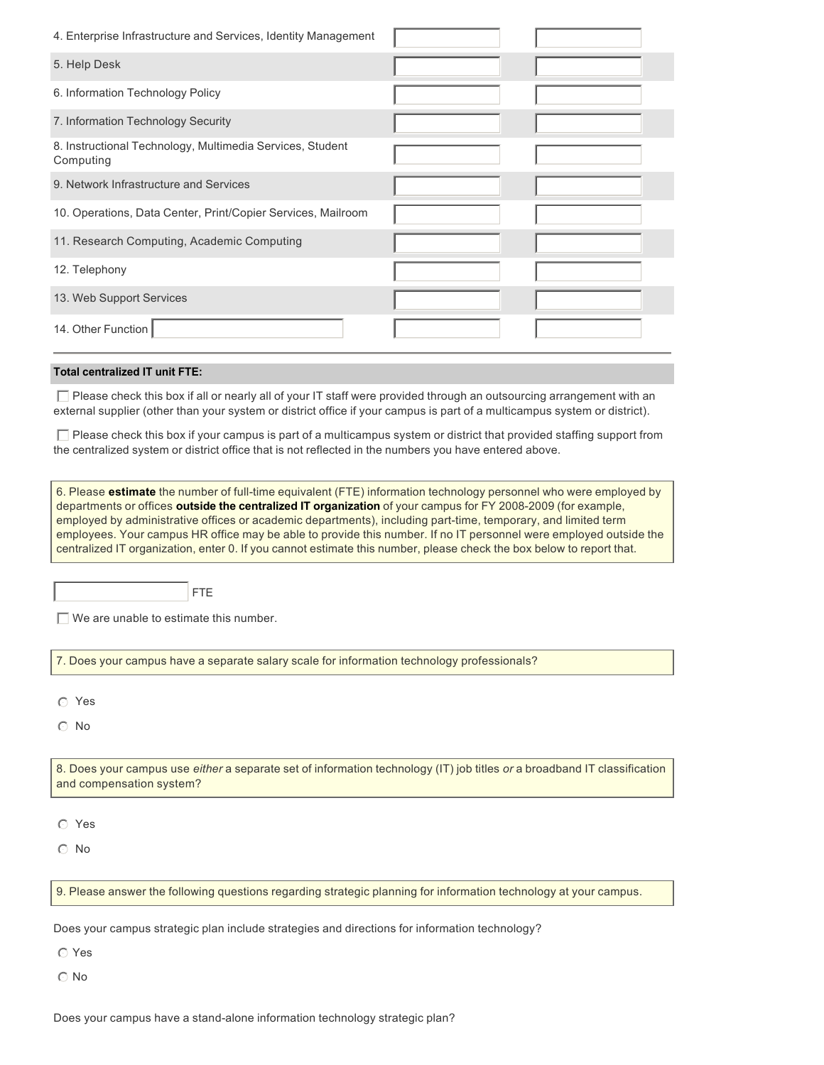| 4. Enterprise Infrastructure and Services, Identity Management                                                                                                                                                                                    |  |  |  |
|---------------------------------------------------------------------------------------------------------------------------------------------------------------------------------------------------------------------------------------------------|--|--|--|
| 5. Help Desk                                                                                                                                                                                                                                      |  |  |  |
| 6. Information Technology Policy                                                                                                                                                                                                                  |  |  |  |
| 7. Information Technology Security                                                                                                                                                                                                                |  |  |  |
| 8. Instructional Technology, Multimedia Services, Student<br>Computing                                                                                                                                                                            |  |  |  |
| 9. Network Infrastructure and Services                                                                                                                                                                                                            |  |  |  |
| 10. Operations, Data Center, Print/Copier Services, Mailroom                                                                                                                                                                                      |  |  |  |
| 11. Research Computing, Academic Computing                                                                                                                                                                                                        |  |  |  |
| 12. Telephony                                                                                                                                                                                                                                     |  |  |  |
| 13. Web Support Services                                                                                                                                                                                                                          |  |  |  |
| 14. Other Function                                                                                                                                                                                                                                |  |  |  |
| <b>Total centralized IT unit FTE:</b>                                                                                                                                                                                                             |  |  |  |
| Please check this box if all or nearly all of your IT staff were provided through an outsourcing arrangement with an<br>external supplier (other than your system or district office if your campus is part of a multicampus system or district). |  |  |  |
| $\Box$ Please check this box if your campus is part of a multicampus system or district that provided staffing support from<br>the centralized system or district office that is not reflected in the numbers you have entered above.             |  |  |  |

6. Please **estimate** the number of full-time equivalent (FTE) information technology personnel who were employed by departments or offices **outside the centralized IT organization** of your campus for FY 2008-2009 (for example, employed by administrative offices or academic departments), including part-time, temporary, and limited term employees. Your campus HR office may be able to provide this number. If no IT personnel were employed outside the centralized IT organization, enter 0. If you cannot estimate this number, please check the box below to report that.

FTE

 $\Box$  We are unable to estimate this number.

7. Does your campus have a separate salary scale for information technology professionals?

 $\circ$  Yes

 $\odot$  No

8. Does your campus use *either* a separate set of information technology (IT) job titles *or* a broadband IT classification and compensation system?

 $O$  Yes

 $\odot$  No

9. Please answer the following questions regarding strategic planning for information technology at your campus.

Does your campus strategic plan include strategies and directions for information technology?

 $\odot$  Yes

 $\odot$  No

Does your campus have a stand-alone information technology strategic plan?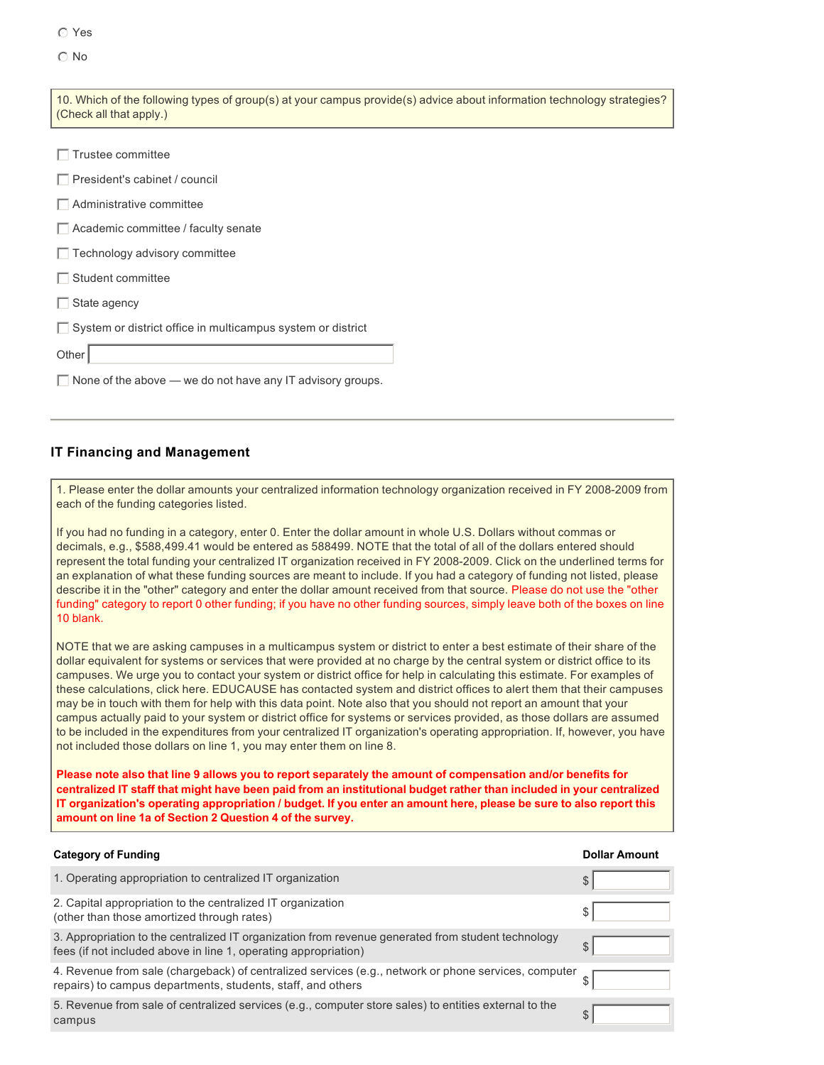$\cap$  No

| 10. Which of the following types of group(s) at your campus provide(s) advice about information technology strategies?<br>(Check all that apply.) |
|---------------------------------------------------------------------------------------------------------------------------------------------------|
| $\Box$ Trustee committee                                                                                                                          |
| $\Box$ President's cabinet / council                                                                                                              |
| $\Box$ Administrative committee                                                                                                                   |
| $\Box$ Academic committee / faculty senate                                                                                                        |
| $\Box$ Technology advisory committee                                                                                                              |
| Student committee                                                                                                                                 |
| State agency                                                                                                                                      |
| $\Box$ System or district office in multicampus system or district                                                                                |
| Other                                                                                                                                             |
| $\Box$ None of the above $\Box$ we do not have any IT advisory groups.                                                                            |
|                                                                                                                                                   |
| <b>IT Financing and Management</b>                                                                                                                |

#### 1. Please enter the dollar amounts your centralized information technology organization received in FY 2008-2009 from each of the funding categories listed.

If you had no funding in a category, enter 0. Enter the dollar amount in whole U.S. Dollars without commas or decimals, e.g., \$588,499.41 would be entered as 588499. NOTE that the total of all of the dollars entered should represent the total funding your centralized IT organization received in FY 2008-2009. Click on the underlined terms for an explanation of what these funding sources are meant to include. If you had a category of funding not listed, please describe it in the "other" category and enter the dollar amount received from that source. Please do not use the "other funding" category to report 0 other funding; if you have no other funding sources, simply leave both of the boxes on line 10 blank.

NOTE that we are asking campuses in a multicampus system or district to enter a best estimate of their share of the dollar equivalent for systems or services that were provided at no charge by the central system or district office to its campuses. We urge you to contact your system or district office for help in calculating this estimate. For examples of these calculations, click here. EDUCAUSE has contacted system and district offices to alert them that their campuses may be in touch with them for help with this data point. Note also that you should not report an amount that your campus actually paid to your system or district office for systems or services provided, as those dollars are assumed to be included in the expenditures from your centralized IT organization's operating appropriation. If, however, you have not included those dollars on line 1, you may enter them on line 8.

**Please note also that line 9 allows you to report separately the amount of compensation and/or benefits for centralized IT staff that might have been paid from an institutional budget rather than included in your centralized IT organization's operating appropriation / budget. If you enter an amount here, please be sure to also report this amount on line 1a of Section 2 Question 4 of the survey.**

| <b>Category of Funding</b>                                                                                                                                            | <b>Dollar Amount</b> |
|-----------------------------------------------------------------------------------------------------------------------------------------------------------------------|----------------------|
| 1. Operating appropriation to centralized IT organization                                                                                                             | \$                   |
| 2. Capital appropriation to the centralized IT organization<br>(other than those amortized through rates)                                                             |                      |
| 3. Appropriation to the centralized IT organization from revenue generated from student technology<br>fees (if not included above in line 1, operating appropriation) | S                    |
| 4. Revenue from sale (chargeback) of centralized services (e.g., network or phone services, computer<br>repairs) to campus departments, students, staff, and others   |                      |
| 5. Revenue from sale of centralized services (e.g., computer store sales) to entities external to the<br>campus                                                       | S                    |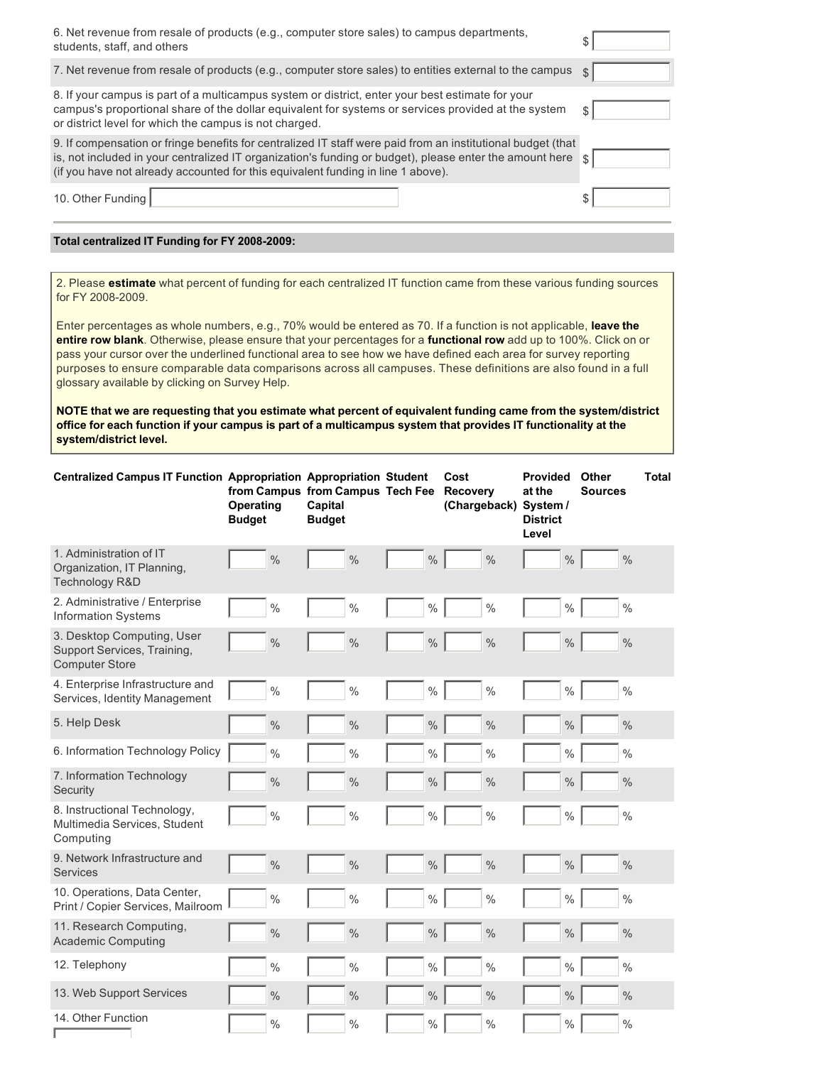| 6. Net revenue from resale of products (e.g., computer store sales) to campus departments,<br>students, staff, and others                                                                                                                                                                                  |                        |
|------------------------------------------------------------------------------------------------------------------------------------------------------------------------------------------------------------------------------------------------------------------------------------------------------------|------------------------|
| 7. Net revenue from resale of products (e.g., computer store sales) to entities external to the campus                                                                                                                                                                                                     | $\mathcal{S}$          |
| 8. If your campus is part of a multicampus system or district, enter your best estimate for your<br>campus's proportional share of the dollar equivalent for systems or services provided at the system<br>or district level for which the campus is not charged.                                          |                        |
| 9. If compensation or fringe benefits for centralized IT staff were paid from an institutional budget (that<br>is, not included in your centralized IT organization's funding or budget), please enter the amount here<br>(if you have not already accounted for this equivalent funding in line 1 above). | $\sqrt[3]{\text{S}}$ ) |
| 10. Other Funding                                                                                                                                                                                                                                                                                          |                        |

#### Total centralized IT Funding for FY 2008-2009:

2. Please **estimate** what percent of funding for each centralized IT function came from these various funding sources for FY 2008-2009.

Enter percentages as whole numbers, e.g., 70% would be entered as 70. If a function is not applicable, **leave the entire row blank**. Otherwise, please ensure that your percentages for a **functional row** add up to 100%. Click on or pass your cursor over the underlined functional area to see how we have defined each area for survey reporting purposes to ensure comparable data comparisons across all campuses. These definitions are also found in a full glossary available by clicking on Survey Help.

**NOTE that we are requesting that you estimate what percent of equivalent funding came from the system/district office for each function if your campus is part of a multicampus system that provides IT functionality at the system/district level.**

| Centralized Campus IT Function Appropriation Appropriation Student                 | <b>Operating</b><br><b>Budget</b> | from Campus from Campus Tech Fee<br>Capital<br><b>Budget</b> |               | Cost<br><b>Recovery</b><br>(Chargeback) System / | <b>Provided</b><br>at the<br><b>District</b><br>Level | Other<br><b>Sources</b> | <b>Total</b> |
|------------------------------------------------------------------------------------|-----------------------------------|--------------------------------------------------------------|---------------|--------------------------------------------------|-------------------------------------------------------|-------------------------|--------------|
| 1. Administration of IT<br>Organization, IT Planning,<br>Technology R&D            | $\frac{0}{0}$                     | $\frac{0}{0}$                                                | $\frac{0}{0}$ | $\frac{0}{0}$                                    | $\frac{0}{0}$                                         | $\%$                    |              |
| 2. Administrative / Enterprise<br><b>Information Systems</b>                       | $\frac{0}{0}$                     | $\frac{0}{0}$                                                | $\frac{0}{0}$ | $\frac{0}{0}$                                    | $\%$                                                  | $\frac{0}{0}$           |              |
| 3. Desktop Computing, User<br>Support Services, Training,<br><b>Computer Store</b> | $\%$                              | $\frac{0}{0}$                                                | $\frac{0}{0}$ | $\frac{0}{0}$                                    | $\%$                                                  | $\%$                    |              |
| 4. Enterprise Infrastructure and<br>Services, Identity Management                  | $\frac{0}{0}$                     | $\frac{0}{0}$                                                | $\frac{0}{0}$ | $\frac{0}{0}$                                    | $\%$                                                  | $\frac{0}{0}$           |              |
| 5. Help Desk                                                                       | $\%$                              | $\frac{0}{0}$                                                | $\frac{0}{0}$ | $\frac{0}{0}$                                    | $\%$                                                  | $\frac{0}{0}$           |              |
| 6. Information Technology Policy                                                   | $\%$                              | $\frac{0}{0}$                                                | $\frac{0}{0}$ | $\frac{0}{0}$                                    | $\%$                                                  | $\frac{0}{0}$           |              |
| 7. Information Technology<br>Security                                              | $\frac{0}{0}$                     | $\frac{0}{0}$                                                | $\frac{0}{0}$ | $\frac{0}{0}$                                    | $\%$                                                  | $\%$                    |              |
| 8. Instructional Technology,<br>Multimedia Services, Student<br>Computing          | $\frac{0}{0}$                     | $\frac{0}{0}$                                                | $\frac{0}{0}$ | $\%$                                             | $\%$                                                  | $\%$                    |              |
| 9. Network Infrastructure and<br><b>Services</b>                                   | $\frac{0}{0}$                     | $\frac{0}{0}$                                                | $\frac{0}{0}$ | $\frac{0}{0}$                                    | $\%$                                                  | $\%$                    |              |
| 10. Operations, Data Center,<br>Print / Copier Services, Mailroom                  | $\frac{0}{0}$                     | $\frac{0}{0}$                                                | $\frac{0}{0}$ | $\frac{0}{0}$                                    | $\%$                                                  | $\%$                    |              |
| 11. Research Computing,<br><b>Academic Computing</b>                               | $\frac{0}{0}$                     | $\frac{0}{0}$                                                | $\%$          | $\frac{0}{0}$                                    | $\%$                                                  | $\%$                    |              |
| 12. Telephony                                                                      | $\frac{0}{0}$                     | $\frac{0}{0}$                                                | $\frac{0}{0}$ | $\frac{0}{0}$                                    | $\frac{0}{0}$                                         | $\frac{0}{0}$           |              |
| 13. Web Support Services                                                           | $\frac{0}{0}$                     | $\frac{0}{0}$                                                | $\frac{0}{0}$ | $\frac{0}{0}$                                    | $\%$                                                  | $\%$                    |              |
| 14. Other Function                                                                 | $\frac{0}{0}$                     | $\frac{0}{0}$                                                | $\frac{0}{0}$ | $\%$                                             | $\%$                                                  | $\frac{0}{0}$           |              |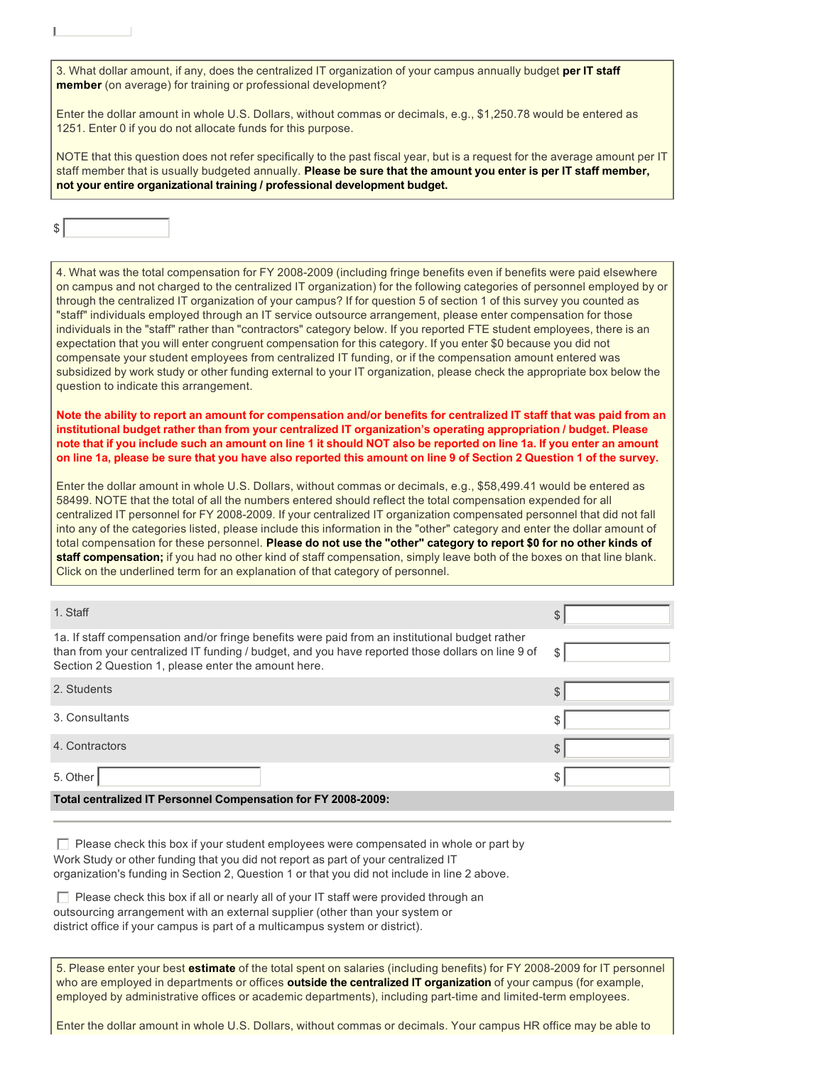3. What dollar amount, if any, does the centralized IT organization of your campus annually budget **per IT staff member** (on average) for training or professional development?

Enter the dollar amount in whole U.S. Dollars, without commas or decimals, e.g., \$1,250.78 would be entered as 1251. Enter 0 if you do not allocate funds for this purpose.

NOTE that this question does not refer specifically to the past fiscal year, but is a request for the average amount per IT staff member that is usually budgeted annually. **Please be sure that the amount you enter is per IT staff member, not your entire organizational training / professional development budget.**

4. What was the total compensation for FY 2008-2009 (including fringe benefits even if benefits were paid elsewhere on campus and not charged to the centralized IT organization) for the following categories of personnel employed by or through the centralized IT organization of your campus? If for question 5 of section 1 of this survey you counted as "staff" individuals employed through an IT service outsource arrangement, please enter compensation for those individuals in the "staff" rather than "contractors" category below. If you reported FTE student employees, there is an expectation that you will enter congruent compensation for this category. If you enter \$0 because you did not compensate your student employees from centralized IT funding, or if the compensation amount entered was subsidized by work study or other funding external to your IT organization, please check the appropriate box below the question to indicate this arrangement.

**Note the ability to report an amount for compensation and/or benefits for centralized IT staff that was paid from an institutional budget rather than from your centralized IT organization's operating appropriation / budget. Please note that if you include such an amount on line 1 it should NOT also be reported on line 1a. If you enter an amount on line 1a, please be sure that you have also reported this amount on line 9 of Section 2 Question 1 of the survey.**

Enter the dollar amount in whole U.S. Dollars, without commas or decimals, e.g., \$58,499.41 would be entered as 58499. NOTE that the total of all the numbers entered should reflect the total compensation expended for all centralized IT personnel for FY 2008-2009. If your centralized IT organization compensated personnel that did not fall into any of the categories listed, please include this information in the "other" category and enter the dollar amount of total compensation for these personnel. **Please do not use the "other" category to report \$0 for no other kinds of staff compensation;** if you had no other kind of staff compensation, simply leave both of the boxes on that line blank. Click on the underlined term for an explanation of that category of personnel.

| 1. Staff                                                                                                                                                                                                                                                  | S  |
|-----------------------------------------------------------------------------------------------------------------------------------------------------------------------------------------------------------------------------------------------------------|----|
| 1a. If staff compensation and/or fringe benefits were paid from an institutional budget rather<br>than from your centralized IT funding / budget, and you have reported those dollars on line 9 of<br>Section 2 Question 1, please enter the amount here. | \$ |
| 2. Students                                                                                                                                                                                                                                               | \$ |
| 3. Consultants                                                                                                                                                                                                                                            | S  |
| 4. Contractors                                                                                                                                                                                                                                            | \$ |
| 5. Other                                                                                                                                                                                                                                                  |    |
| Total centralized IT Personnel Compensation for FY 2008-2009:                                                                                                                                                                                             |    |

 $\Box$  Please check this box if your student employees were compensated in whole or part by Work Study or other funding that you did not report as part of your centralized IT organization's funding in Section 2, Question 1 or that you did not include in line 2 above.

 $\Box$  Please check this box if all or nearly all of your IT staff were provided through an outsourcing arrangement with an external supplier (other than your system or district office if your campus is part of a multicampus system or district).

5. Please enter your best estimate of the total spent on salaries (including benefits) for FY 2008-2009 for IT personnel who are employed in departments or offices **outside the centralized IT organization** of your campus (for example, employed by administrative offices or academic departments), including part-time and limited-term employees.

Enter the dollar amount in whole U.S. Dollars, without commas or decimals. Your campus HR office may be able to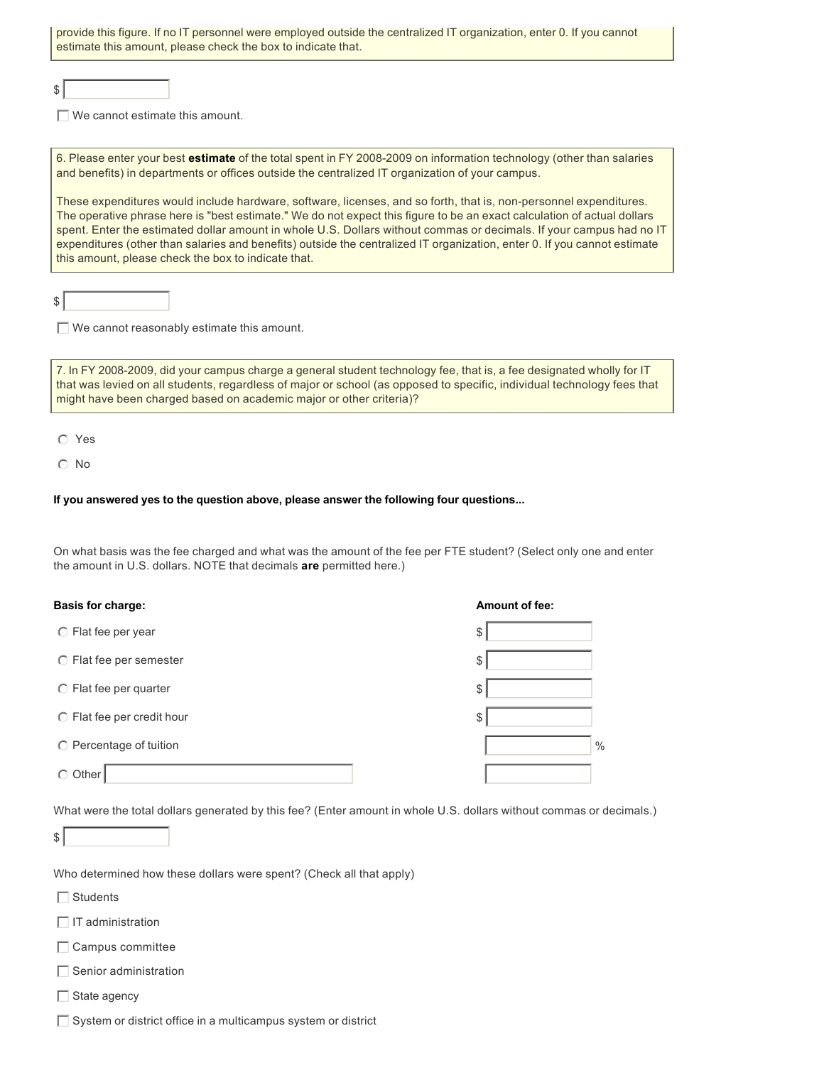| provide this figure. If no IT personnel were employed outside the centralized IT organization, enter 0. If you cannot<br>estimate this amount, please check the box to indicate that.                                                           |
|-------------------------------------------------------------------------------------------------------------------------------------------------------------------------------------------------------------------------------------------------|
|                                                                                                                                                                                                                                                 |
|                                                                                                                                                                                                                                                 |
| We cannot estimate this amount.                                                                                                                                                                                                                 |
|                                                                                                                                                                                                                                                 |
| 6. Please enter your best estimate of the total spent in FY 2008-2009 on information technology (other than salaries<br>and benefits) in departments or offices outside the centralized IT organization of your campus.                         |
|                                                                                                                                                                                                                                                 |
| These expenditures would include hardware, software, licenses, and so forth, that is, non-personnel expenditures.                                                                                                                               |
| The operative phrase here is "best estimate." We do not expect this figure to be an exact calculation of actual dollars                                                                                                                         |
| spent. Enter the estimated dollar amount in whole U.S. Dollars without commas or decimals. If your campus had no IT<br>expenditures (other than salaries and benefits) outside the centralized IT organization, enter 0. If you cannot estimate |
| this amount, please check the box to indicate that.                                                                                                                                                                                             |
|                                                                                                                                                                                                                                                 |

 $\Box$  We cannot reasonably estimate this amount.

7. In FY 2008-2009, did your campus charge a general student technology fee, that is, a fee designated wholly for IT that was levied on all students, regardless of major or school (as opposed to specific, individual technology fees that might have been charged based on academic major or other criteria)?

 $O$  Yes

 $s$ 

 $\odot$  No

#### **If you answered yes to the question above, please answer the following four questions...**

On what basis was the fee charged and what was the amount of the fee per FTE student? (Select only one and enter the amount in U.S. dollars. NOTE that decimals **are** permitted here.)

| <b>Basis for charge:</b>         | <b>Amount of fee:</b> |
|----------------------------------|-----------------------|
| ◯ Flat fee per year              | \$                    |
| $\circ$ Flat fee per semester    | \$                    |
| ◯ Flat fee per quarter           | \$                    |
| $\odot$ Flat fee per credit hour | \$                    |
| $\odot$ Percentage of tuition    | $\frac{0}{0}$         |
| Other<br>⊙                       |                       |

What were the total dollars generated by this fee? (Enter amount in whole U.S. dollars without commas or decimals.)

Who determined how these dollars were spent? (Check all that apply)

 $\Box$  Students

 $\Box$  IT administration

 $\Box$  Campus committee

 $\Box$  Senior administration

 $\Box$  State agency

 $\Box$  System or district office in a multicampus system or district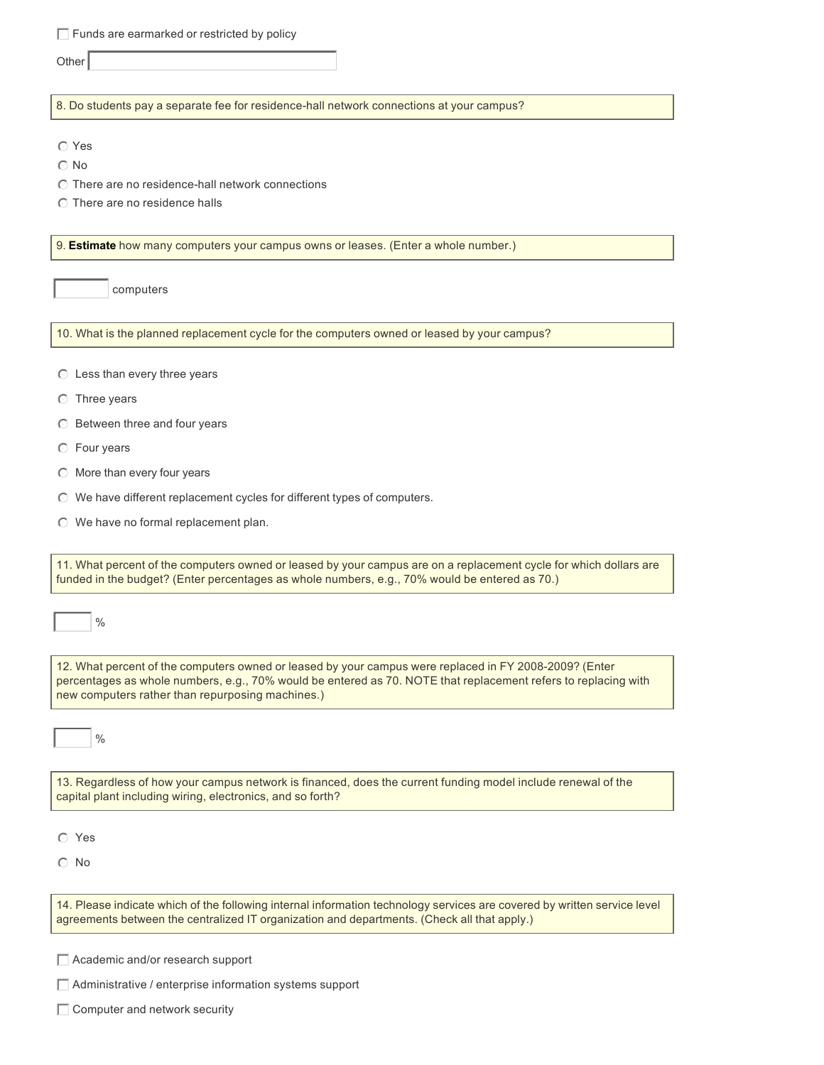$\Box$  Funds are earmarked or restricted by policy

**Other** 

8. Do students pay a separate fee for residence-hall network connections at your campus?

 $\odot$  No

- $\odot$  There are no residence-hall network connections
- $\odot$  There are no residence halls

9. **Estimate** how many computers your campus owns or leases. (Enter a whole number.)

computers

10. What is the planned replacement cycle for the computers owned or leased by your campus?

- $\odot$  Less than every three years
- $\odot$  Three years
- $\odot$  Between three and four years
- $\odot$  Four years
- $\odot$  More than every four years
- $\odot$  We have different replacement cycles for different types of computers.
- $\odot$  We have no formal replacement plan.

11. What percent of the computers owned or leased by your campus are on a replacement cycle for which dollars are funded in the budget? (Enter percentages as whole numbers, e.g., 70% would be entered as 70.)

12. What percent of the computers owned or leased by your campus were replaced in FY 2008-2009? (Enter percentages as whole numbers, e.g., 70% would be entered as 70. NOTE that replacement refers to replacing with new computers rather than repurposing machines.)

 $\frac{0}{0}$ 

13. Regardless of how your campus network is financed, does the current funding model include renewal of the capital plant including wiring, electronics, and so forth?

 $O$  Yes

 $\odot$  No

14. Please indicate which of the following internal information technology services are covered by written service level agreements between the centralized IT organization and departments. (Check all that apply.)

 $\Box$  Academic and/or research support

 $\Box$  Administrative / enterprise information systems support

 $\Box$  Computer and network security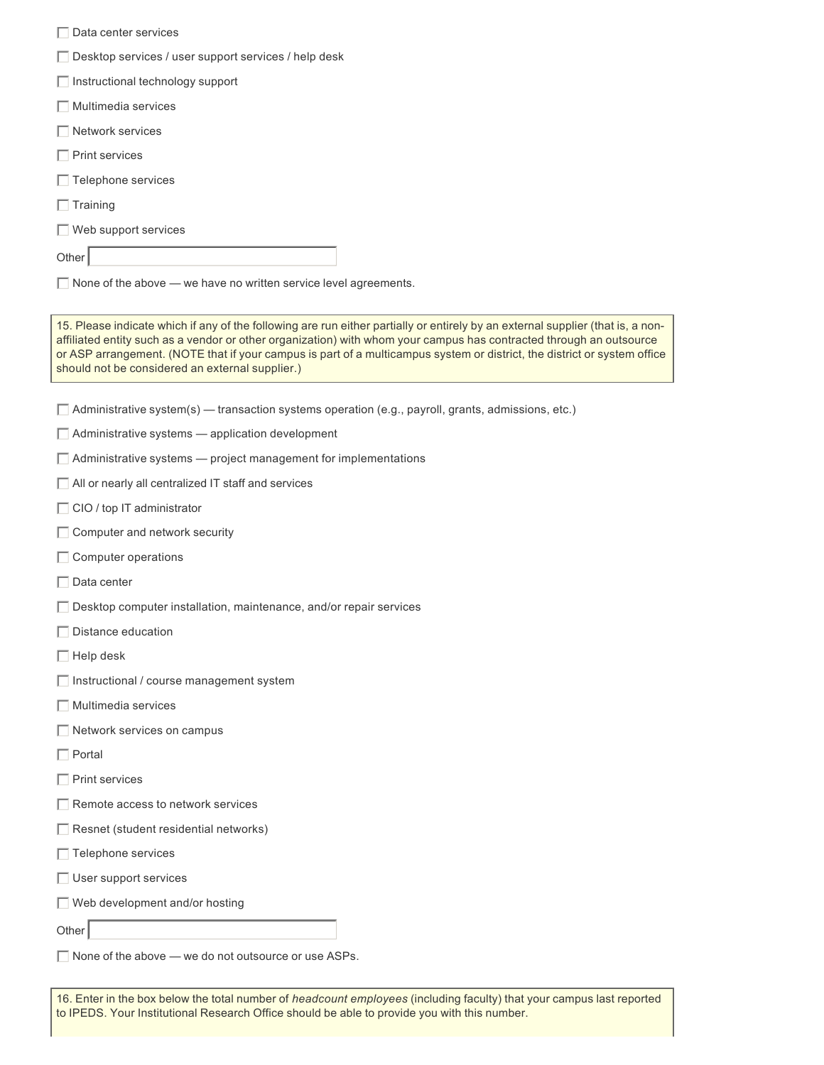- $\Box$  Data center services
- $\Box$  Desktop services / user support services / help desk
- $\Box$  Instructional technology support
- $\Box$  Multimedia services
- $\Box$  Network services
- $\Box$  Print services
- $\Box$  Telephone services
- $\Box$  Training
- $\Box$  Web support services

Other

 $\Box$  None of the above — we have no written service level agreements.

15. Please indicate which if any of the following are run either partially or entirely by an external supplier (that is, a nonaffiliated entity such as a vendor or other organization) with whom your campus has contracted through an outsource or ASP arrangement. (NOTE that if your campus is part of a multicampus system or district, the district or system office should not be considered an external supplier.)

- $\Box$  Administrative system(s) transaction systems operation (e.g., payroll, grants, admissions, etc.)
- $\Box$  Administrative systems  $-$  application development
- $\Box$  Administrative systems  $-$  project management for implementations
- $\Box$  All or nearly all centralized IT staff and services
- $\Box$  CIO / top IT administrator
- $\Box$  Computer and network security
- $\Box$  Computer operations
- $\Box$  Data center
- $\Box$  Desktop computer installation, maintenance, and/or repair services
- $\Box$  Distance education
- $\Box$  Help desk
- $\Box$  Instructional / course management system
- $\Box$  Multimedia services
- $\Box$  Network services on campus
- $\Box$  Portal
- $\Box$  Print services
- $\Box$  Remote access to network services
- $\Box$  Resnet (student residential networks)
- $\Box$  Telephone services
- $\Box$  User support services
- $\Box$  Web development and/or hosting

Other

 $\Box$  None of the above — we do not outsource or use ASPs.

16. Enter in the box below the total number of *headcount employees* (including faculty) that your campus last reported to IPEDS. Your Institutional Research Office should be able to provide you with this number.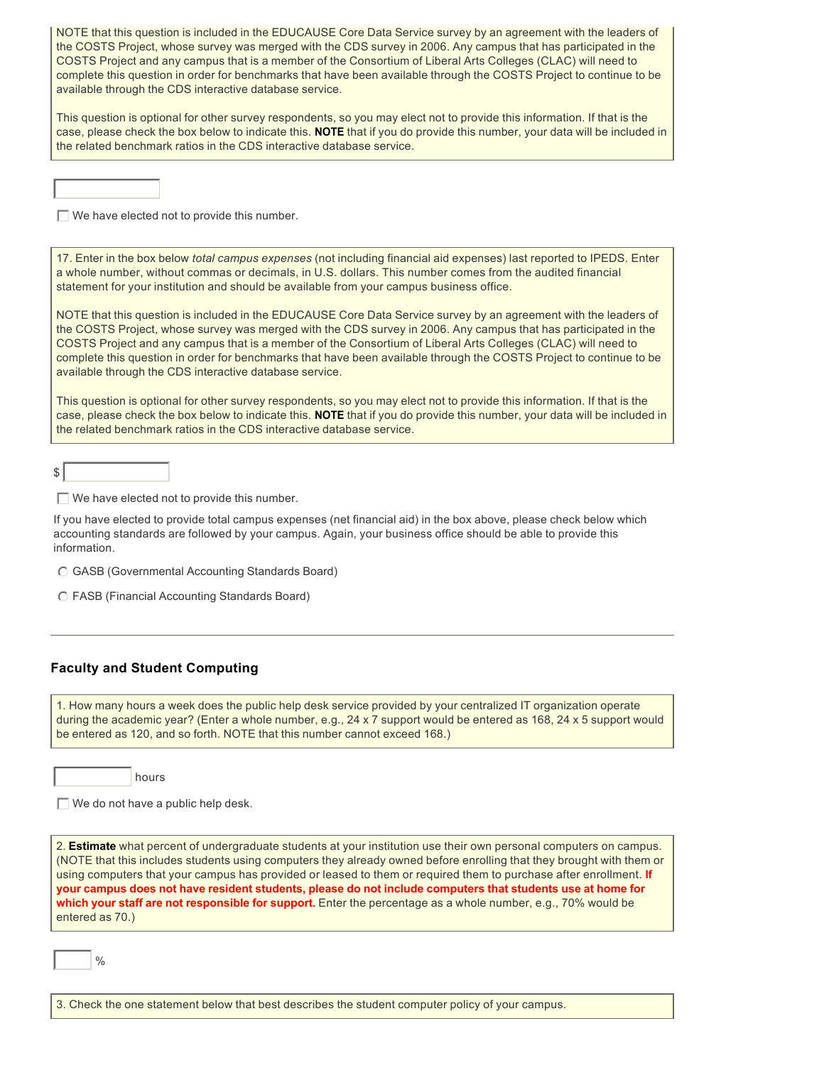NOTE that this question is included in the EDUCAUSE Core Data Service survey by an agreement with the leaders of the COSTS Project, whose survey was merged with the CDS survey in 2006. Any campus that has participated in the COSTS Project and any campus that is a member of the Consortium of Liberal Arts Colleges (CLAC) will need to complete this question in order for benchmarks that have been available through the COSTS Project to continue to be available through the CDS interactive database service.

This question is optional for other survey respondents, so you may elect not to provide this information. If that is the case, please check the box below to indicate this. **NOTE** that if you do provide this number, your data will be included in the related benchmark ratios in the CDS interactive database service.

 $\Box$  We have elected not to provide this number.

17. Enter in the box below *total campus expenses* (not including financial aid expenses) last reported to IPEDS. Enter a whole number, without commas or decimals, in U.S. dollars. This number comes from the audited financial statement for your institution and should be available from your campus business office.

NOTE that this question is included in the EDUCAUSE Core Data Service survey by an agreement with the leaders of the COSTS Project, whose survey was merged with the CDS survey in 2006. Any campus that has participated in the COSTS Project and any campus that is a member of the Consortium of Liberal Arts Colleges (CLAC) will need to complete this question in order for benchmarks that have been available through the COSTS Project to continue to be available through the CDS interactive database service.

This question is optional for other survey respondents, so you may elect not to provide this information. If that is the case, please check the box below to indicate this. **NOTE** that if you do provide this number, your data will be included in the related benchmark ratios in the CDS interactive database service.

 $s$ 

 $\Box$  We have elected not to provide this number.

If you have elected to provide total campus expenses (net financial aid) in the box above, please check below which accounting standards are followed by your campus. Again, your business office should be able to provide this information.

 $\odot$  GASB (Governmental Accounting Standards Board)

 $\odot$  FASB (Financial Accounting Standards Board)

#### **Faculty and Student Computing**

1. How many hours a week does the public help desk service provided by your centralized IT organization operate during the academic year? (Enter a whole number, e.g., 24 x 7 support would be entered as 168, 24 x 5 support would be entered as 120, and so forth. NOTE that this number cannot exceed 168.)



 $\Box$  We do not have a public help desk.

2. **Estimate** what percent of undergraduate students at your institution use their own personal computers on campus. (NOTE that this includes students using computers they already owned before enrolling that they brought with them or using computers that your campus has provided or leased to them or required them to purchase after enrollment. **If your campus does not have resident students, please do not include computers that students use at home for which your staff are not responsible for support.** Enter the percentage as a whole number, e.g., 70% would be entered as 70.)

 $\frac{0}{0}$ 

3. Check the one statement below that best describes the student computer policy of your campus.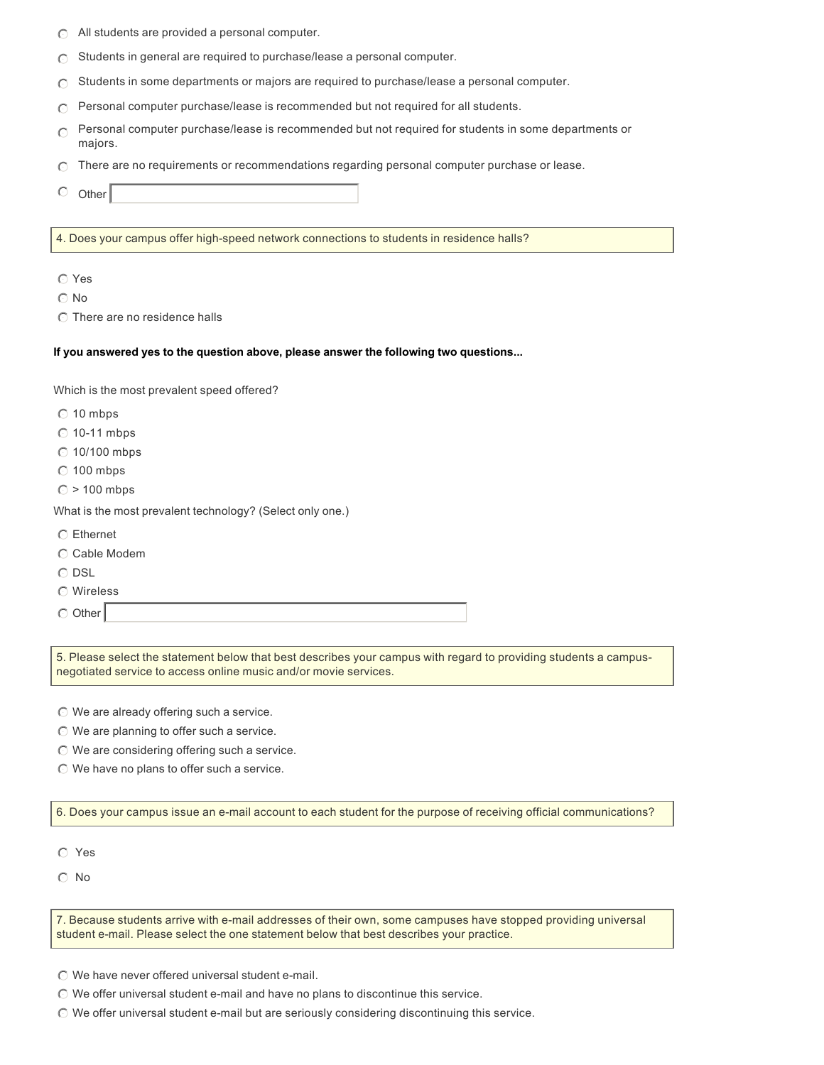- $\bigcirc$  All students are provided a personal computer.
- $\bigcap$  Students in general are required to purchase/lease a personal computer.
- $\bigcirc$  Students in some departments or majors are required to purchase/lease a personal computer.
- $\cap$  Personal computer purchase/lease is recommended but not required for all students.
- $\odot$ Personal computer purchase/lease is recommended but not required for students in some departments or majors.
- $\cap$  There are no requirements or recommendations regarding personal computer purchase or lease.
- $\circ$  Other

4. Does your campus offer high-speed network connections to students in residence halls?

 $\odot$  Yes

- $\odot$  No
- $\odot$  There are no residence halls

#### **If you answered yes to the question above, please answer the following two questions...**

Which is the most prevalent speed offered?

- $\odot$  10 mbps
- $\odot$  10-11 mbps
- $\odot$  10/100 mbps
- $\odot$  100 mbps
- $\odot$  > 100 mbps

What is the most prevalent technology? (Select only one.)

- $\odot$  Ethernet
- $\odot$  Cable Modem
- $\odot$  DSL
- $\odot$  Wireless

 $\odot$  Other

5. Please select the statement below that best describes your campus with regard to providing students a campusnegotiated service to access online music and/or movie services.

 $\odot$  We are already offering such a service.

- $\odot$  We are planning to offer such a service.
- $\odot$  We are considering offering such a service.
- $\odot$  We have no plans to offer such a service.

6. Does your campus issue an e-mail account to each student for the purpose of receiving official communications?

 $O$  Yes

 $\odot$  No

7. Because students arrive with e-mail addresses of their own, some campuses have stopped providing universal student e-mail. Please select the one statement below that best describes your practice.

- $\odot$  We have never offered universal student e-mail.
- $\odot$  We offer universal student e-mail and have no plans to discontinue this service.
- $\odot$  We offer universal student e-mail but are seriously considering discontinuing this service.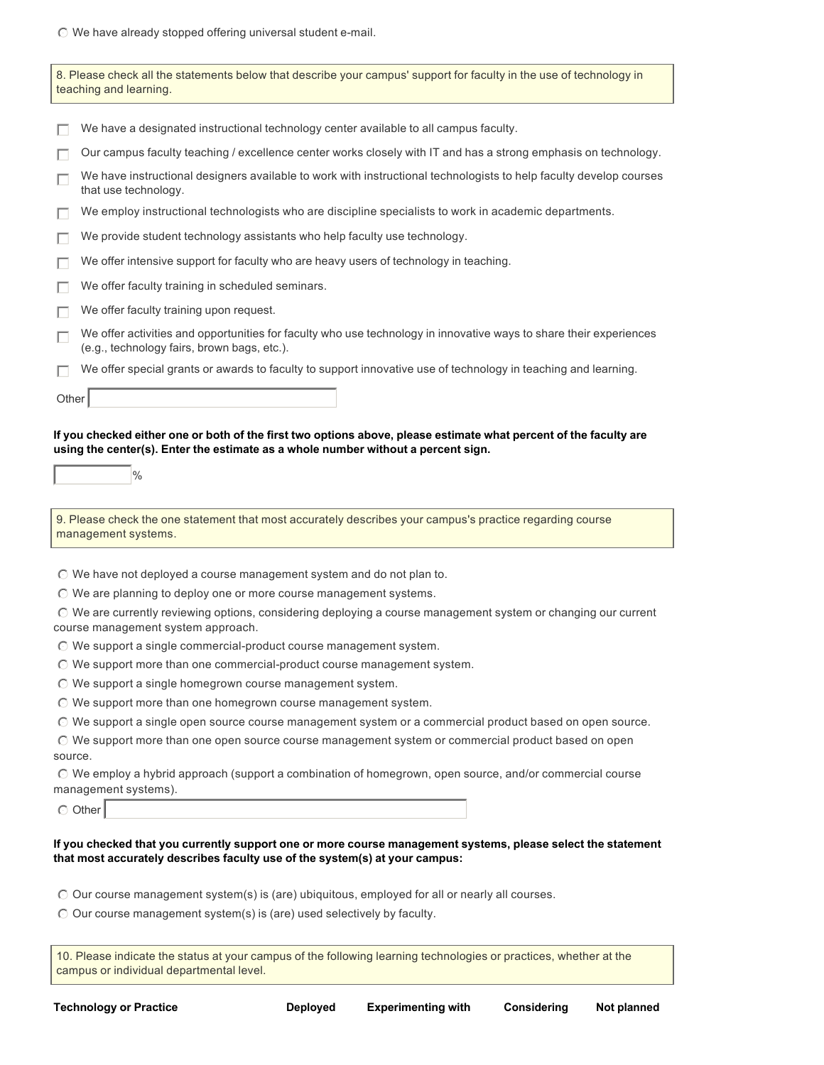$\mathbb O$  We have already stopped offering universal student e-mail.

|         | 8. Please check all the statements below that describe your campus' support for faculty in the use of technology in<br>teaching and learning.                                                                                                                                                                                                                                                                                                                                                                                                                                                                                                                                                                                                                                                                                                                                                                                                                                       |
|---------|-------------------------------------------------------------------------------------------------------------------------------------------------------------------------------------------------------------------------------------------------------------------------------------------------------------------------------------------------------------------------------------------------------------------------------------------------------------------------------------------------------------------------------------------------------------------------------------------------------------------------------------------------------------------------------------------------------------------------------------------------------------------------------------------------------------------------------------------------------------------------------------------------------------------------------------------------------------------------------------|
|         | We have a designated instructional technology center available to all campus faculty.                                                                                                                                                                                                                                                                                                                                                                                                                                                                                                                                                                                                                                                                                                                                                                                                                                                                                               |
|         | Our campus faculty teaching / excellence center works closely with IT and has a strong emphasis on technology.                                                                                                                                                                                                                                                                                                                                                                                                                                                                                                                                                                                                                                                                                                                                                                                                                                                                      |
|         | We have instructional designers available to work with instructional technologists to help faculty develop courses<br>that use technology.                                                                                                                                                                                                                                                                                                                                                                                                                                                                                                                                                                                                                                                                                                                                                                                                                                          |
|         | We employ instructional technologists who are discipline specialists to work in academic departments.                                                                                                                                                                                                                                                                                                                                                                                                                                                                                                                                                                                                                                                                                                                                                                                                                                                                               |
|         | We provide student technology assistants who help faculty use technology.                                                                                                                                                                                                                                                                                                                                                                                                                                                                                                                                                                                                                                                                                                                                                                                                                                                                                                           |
|         | We offer intensive support for faculty who are heavy users of technology in teaching.                                                                                                                                                                                                                                                                                                                                                                                                                                                                                                                                                                                                                                                                                                                                                                                                                                                                                               |
|         | We offer faculty training in scheduled seminars.                                                                                                                                                                                                                                                                                                                                                                                                                                                                                                                                                                                                                                                                                                                                                                                                                                                                                                                                    |
|         | We offer faculty training upon request.                                                                                                                                                                                                                                                                                                                                                                                                                                                                                                                                                                                                                                                                                                                                                                                                                                                                                                                                             |
| П       | We offer activities and opportunities for faculty who use technology in innovative ways to share their experiences<br>(e.g., technology fairs, brown bags, etc.).                                                                                                                                                                                                                                                                                                                                                                                                                                                                                                                                                                                                                                                                                                                                                                                                                   |
| П       | We offer special grants or awards to faculty to support innovative use of technology in teaching and learning.                                                                                                                                                                                                                                                                                                                                                                                                                                                                                                                                                                                                                                                                                                                                                                                                                                                                      |
| Other   |                                                                                                                                                                                                                                                                                                                                                                                                                                                                                                                                                                                                                                                                                                                                                                                                                                                                                                                                                                                     |
|         | $\%$                                                                                                                                                                                                                                                                                                                                                                                                                                                                                                                                                                                                                                                                                                                                                                                                                                                                                                                                                                                |
|         | 9. Please check the one statement that most accurately describes your campus's practice regarding course<br>management systems.                                                                                                                                                                                                                                                                                                                                                                                                                                                                                                                                                                                                                                                                                                                                                                                                                                                     |
| source. | $\odot$ We have not deployed a course management system and do not plan to.<br>$\odot$ We are planning to deploy one or more course management systems.<br>O We are currently reviewing options, considering deploying a course management system or changing our current<br>course management system approach.<br>$\odot$ We support a single commercial-product course management system.<br>© We support more than one commercial-product course management system.<br>$\odot$ We support a single homegrown course management system.<br>© We support more than one homegrown course management system.<br>$\odot$ We support a single open source course management system or a commercial product based on open source.<br>O We support more than one open source course management system or commercial product based on open<br>O We employ a hybrid approach (support a combination of homegrown, open source, and/or commercial course<br>management systems).<br>◯ Other |
|         | If you checked that you currently support one or more course management systems, please select the statement<br>that most accurately describes faculty use of the system(s) at your campus:                                                                                                                                                                                                                                                                                                                                                                                                                                                                                                                                                                                                                                                                                                                                                                                         |
|         | $\odot$ Our course management system(s) is (are) ubiquitous, employed for all or nearly all courses.<br>$\odot$ Our course management system(s) is (are) used selectively by faculty.                                                                                                                                                                                                                                                                                                                                                                                                                                                                                                                                                                                                                                                                                                                                                                                               |

10. Please indicate the status at your campus of the following learning technologies or practices, whether at the campus or individual departmental level.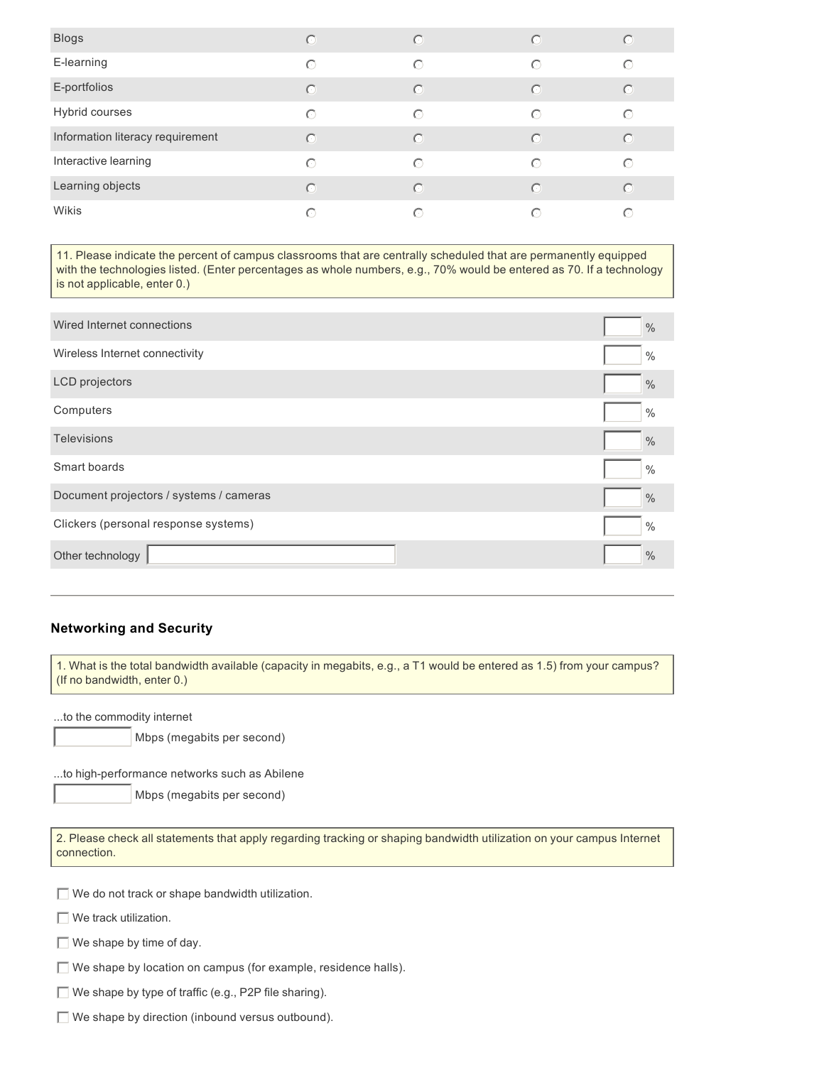| <b>Blogs</b>                     | $\bigcap$ | ⊙          | $\odot$    | O          |
|----------------------------------|-----------|------------|------------|------------|
| E-learning                       | ∩         | ∩          | $\bigcirc$ | $\bigcirc$ |
| E-portfolios                     | $\bigcap$ | $\bigcirc$ | $\odot$    | $\bigcirc$ |
| Hybrid courses                   | ∩         | ∩          | $\bigcirc$ | ∩          |
| Information literacy requirement | $\subset$ | $\bigcap$  | $\bigcap$  | $\bigcirc$ |
| Interactive learning             | $\bigcap$ | ∩          | $\bigcirc$ | ∩          |
| Learning objects                 | $\subset$ | $\bigcap$  | $\bigcap$  | $\bigcap$  |
| Wikis                            | $\subset$ | ∩          | ∩          | ∩          |

11. Please indicate the percent of campus classrooms that are centrally scheduled that are permanently equipped with the technologies listed. (Enter percentages as whole numbers, e.g., 70% would be entered as 70. If a technology is not applicable, enter 0.)

| Wired Internet connections              | $\frac{0}{0}$ |
|-----------------------------------------|---------------|
| Wireless Internet connectivity          | $\frac{0}{0}$ |
| <b>LCD</b> projectors                   | $\frac{0}{0}$ |
| Computers                               | $\frac{0}{0}$ |
| <b>Televisions</b>                      | $\frac{0}{0}$ |
| Smart boards                            | $\frac{0}{0}$ |
| Document projectors / systems / cameras | $\frac{0}{0}$ |
| Clickers (personal response systems)    | $\frac{0}{0}$ |
| Other technology                        | $\frac{0}{0}$ |
|                                         |               |

#### **Networking and Security**

1. What is the total bandwidth available (capacity in megabits, e.g., a T1 would be entered as 1.5) from your campus? (If no bandwidth, enter 0.)

...to the commodity internet

Mbps (megabits per second)

...to high-performance networks such as Abilene

Mbps (megabits per second)

| 2. Please check all statements that apply regarding tracking or shaping bandwidth utilization on your campus Internet<br>connection. |
|--------------------------------------------------------------------------------------------------------------------------------------|
|                                                                                                                                      |
| $\Box$ We do not track or shape bandwidth utilization.                                                                               |
| $\Box$ We track utilization.                                                                                                         |
| $\Box$ We shape by time of day.                                                                                                      |
| $\Box$ We shape by location on campus (for example, residence halls).                                                                |
| $\Box$ We shape by type of traffic (e.g., P2P file sharing).                                                                         |

 $\Box$  We shape by direction (inbound versus outbound).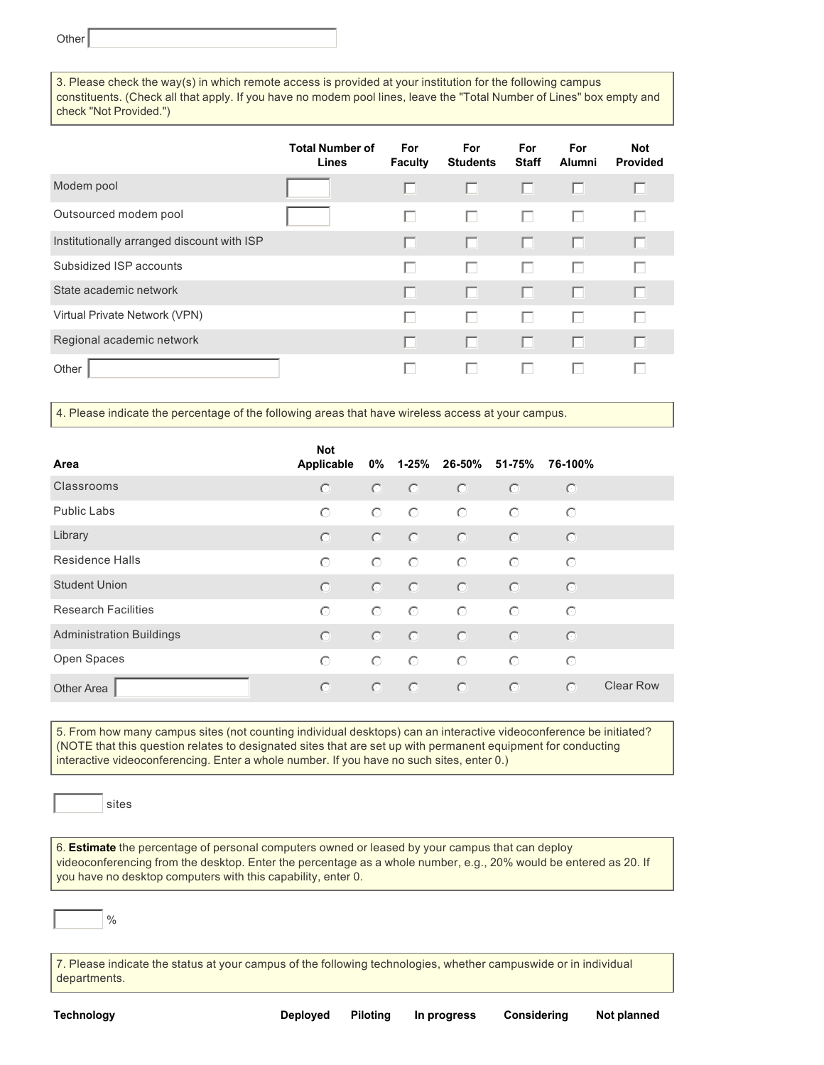**Other** 

3. Please check the way(s) in which remote access is provided at your institution for the following campus constituents. (Check all that apply. If you have no modem pool lines, leave the "Total Number of Lines" box empty and check "Not Provided.")

|                                            | <b>Total Number of</b><br>Lines | For<br><b>Faculty</b> | <b>For</b><br><b>Students</b> | For<br><b>Staff</b> | <b>For</b><br><b>Alumni</b> | <b>Not</b><br><b>Provided</b> |
|--------------------------------------------|---------------------------------|-----------------------|-------------------------------|---------------------|-----------------------------|-------------------------------|
| Modem pool                                 |                                 |                       |                               | ш                   | П                           |                               |
| Outsourced modem pool                      |                                 | L.                    | U                             | ш                   | ш                           |                               |
| Institutionally arranged discount with ISP |                                 |                       | H                             | H.                  | п                           |                               |
| Subsidized ISP accounts                    |                                 |                       |                               | ш                   | $\mathbb{R}^n$              |                               |
| State academic network                     |                                 |                       |                               | П                   | п                           |                               |
| Virtual Private Network (VPN)              |                                 |                       |                               | ш                   | г                           |                               |
| Regional academic network                  |                                 |                       |                               |                     | г                           |                               |
| Other                                      |                                 |                       |                               | U                   |                             |                               |

4. Please indicate the percentage of the following areas that have wireless access at your campus.

| Area                            | <b>Not</b><br>Applicable | 0%      |         | 1-25% 26-50% | 51-75%  | 76-100%    |                  |
|---------------------------------|--------------------------|---------|---------|--------------|---------|------------|------------------|
| Classrooms                      | $\odot$                  | $\odot$ | $\odot$ | $\circ$      | $\circ$ | $\odot$    |                  |
| Public Labs                     | $\odot$                  | $\circ$ | $\circ$ | $\circ$      | $\odot$ | $\odot$    |                  |
| Library                         | $\odot$                  | $\odot$ | $\odot$ | $\odot$      | $\odot$ | $\odot$    |                  |
| Residence Halls                 | $\odot$                  | $\odot$ | $\odot$ | $\odot$      | $\odot$ | $\odot$    |                  |
| <b>Student Union</b>            | $\odot$                  | $\odot$ | $\odot$ | $\odot$      | $\odot$ | $\odot$    |                  |
| <b>Research Facilities</b>      | $\bigcirc$               | $\odot$ | $\odot$ | $\odot$      | $\odot$ | $\odot$    |                  |
| <b>Administration Buildings</b> | $\odot$                  | $\odot$ | $\odot$ | $\odot$      | $\odot$ | $\odot$    |                  |
| Open Spaces                     | $\odot$                  | $\odot$ | $\odot$ | $\odot$      | $\odot$ | $\odot$    |                  |
| <b>Other Area</b>               | $\odot$                  | $\odot$ | $\odot$ | $\odot$      | $\odot$ | $\bigcirc$ | <b>Clear Row</b> |

5. From how many campus sites (not counting individual desktops) can an interactive videoconference be initiated? (NOTE that this question relates to designated sites that are set up with permanent equipment for conducting interactive videoconferencing. Enter a whole number. If you have no such sites, enter 0.)

sites

6. **Estimate** the percentage of personal computers owned or leased by your campus that can deploy videoconferencing from the desktop. Enter the percentage as a whole number, e.g., 20% would be entered as 20. If you have no desktop computers with this capability, enter 0.

 $\frac{0}{0}$ 

7. Please indicate the status at your campus of the following technologies, whether campuswide or in individual departments.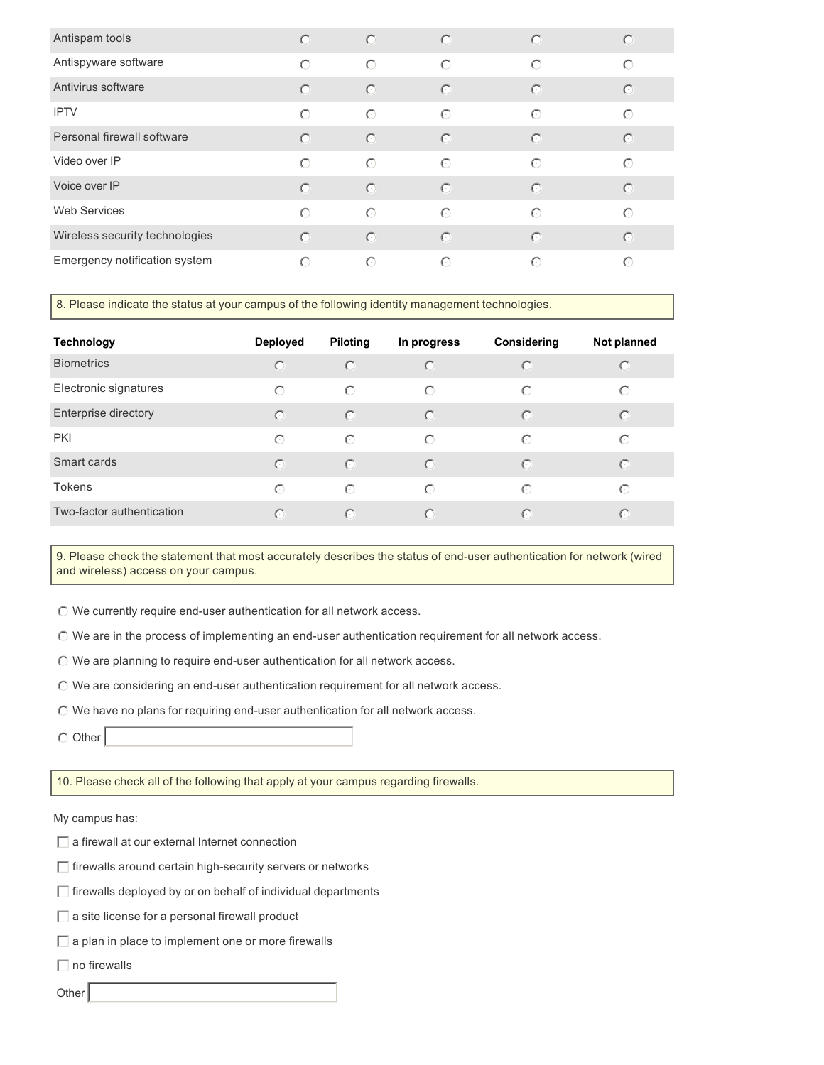| Antispam tools                 | $\bigcirc$ | $\circ$    | $\odot$    | $\odot$ | $\odot$    |
|--------------------------------|------------|------------|------------|---------|------------|
| Antispyware software           | $\odot$    | $\odot$    | $\bigcirc$ | $\odot$ | $\bigcirc$ |
| Antivirus software             | $\odot$    | $\circ$    | $\odot$    | $\odot$ | $\odot$    |
| <b>IPTV</b>                    | $\odot$    | $\odot$    | $\bigcirc$ | $\odot$ | $\bigcirc$ |
| Personal firewall software     | $\odot$    | $\odot$    | $\odot$    | $\odot$ | $\odot$    |
| Video over IP                  | $\odot$    | $\bigcirc$ | $\odot$    | $\odot$ | $\bigcirc$ |
| Voice over IP                  | $\bigcirc$ | $\circ$    | $\odot$    | $\odot$ | $\odot$    |
| <b>Web Services</b>            | $\odot$    | $\bigcirc$ | $\odot$    | $\odot$ | $\bigcirc$ |
| Wireless security technologies | $\bigcirc$ | $\odot$    | $\bigcirc$ | $\odot$ | $\bigcirc$ |
| Emergency notification system  | $\bigcirc$ | $\bigcirc$ | ∩          | $\odot$ | ∩          |

8. Please indicate the status at your campus of the following identity management technologies.

| <b>Technology</b>         | Deployed   | <b>Piloting</b> | In progress | Considering | Not planned |
|---------------------------|------------|-----------------|-------------|-------------|-------------|
| <b>Biometrics</b>         | $\odot$    | $\odot$         | $\odot$     | $\odot$     | $\odot$     |
| Electronic signatures     | $\bigcirc$ | $\bigcirc$      | $\bigcirc$  | $\odot$     | $\bigcirc$  |
| Enterprise directory      | $\bigcirc$ | $\odot$         | $\odot$     | $\odot$     | $\odot$     |
| <b>PKI</b>                | $\bigcirc$ | $\bigcirc$      | $\bigcirc$  | $\odot$     | $\bigcap$   |
| Smart cards               | $\bigcirc$ | $\odot$         | $\bigcirc$  | $\bigcirc$  | $\bigcirc$  |
| <b>Tokens</b>             | $\bigcirc$ | $\odot$         | $\odot$     | $\odot$     | $\bigcap$   |
| Two-factor authentication | $\bigcirc$ | $\odot$         | $\odot$     | $\bigcap$   | $\bigcap$   |

9. Please check the statement that most accurately describes the status of end-user authentication for network (wired and wireless) access on your campus.

 $\odot$  We currently require end-user authentication for all network access.

 $\odot$  We are in the process of implementing an end-user authentication requirement for all network access.

 $\odot$  We are planning to require end-user authentication for all network access.

 $\odot$  We are considering an end-user authentication requirement for all network access.

 $\odot$  We have no plans for requiring end-user authentication for all network access.

 $\circ$  Other

10. Please check all of the following that apply at your campus regarding firewalls.

My campus has:

 $\Box$  a firewall at our external Internet connection

- $\Box$  firewalls around certain high-security servers or networks
- $\Box$  firewalls deployed by or on behalf of individual departments

 $\Box$  a site license for a personal firewall product

- $\Box$  a plan in place to implement one or more firewalls
- $\Box$  no firewalls
- Other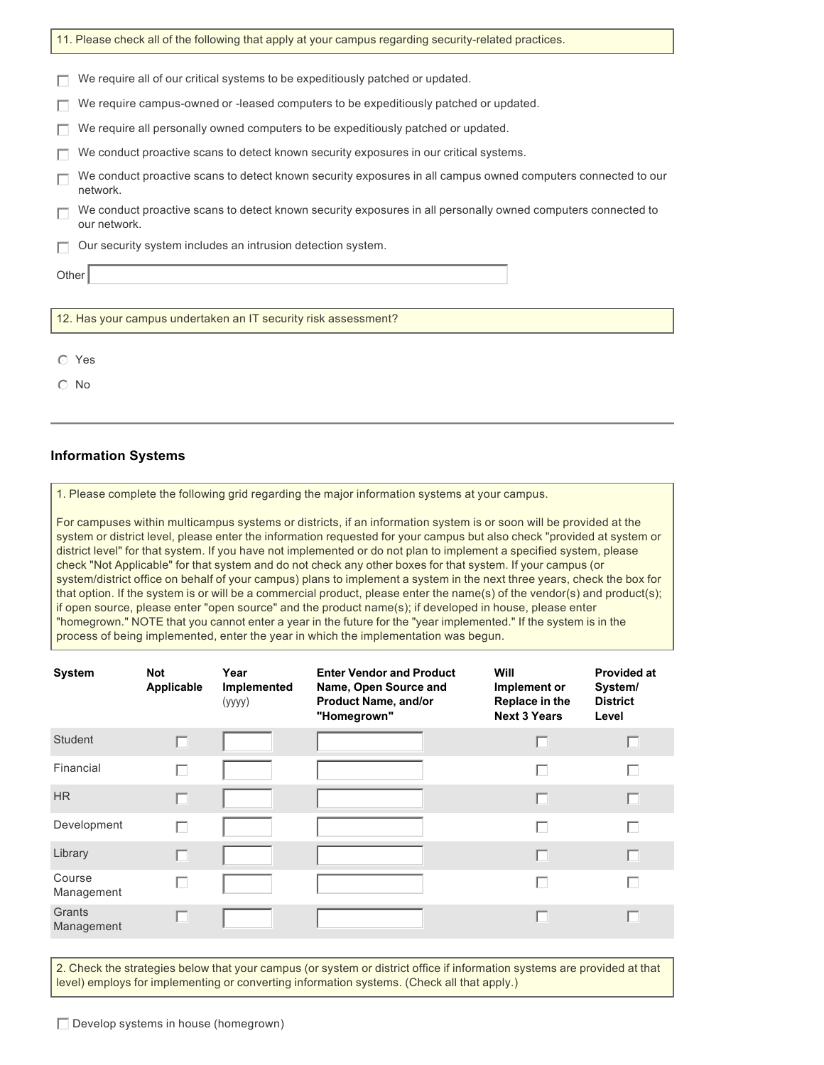| 11. Please check all of the following that apply at your campus regarding security-related practices.                        |  |  |  |  |  |
|------------------------------------------------------------------------------------------------------------------------------|--|--|--|--|--|
|                                                                                                                              |  |  |  |  |  |
| We require all of our critical systems to be expeditiously patched or updated.                                               |  |  |  |  |  |
| We require campus-owned or -leased computers to be expeditiously patched or updated.                                         |  |  |  |  |  |
| We require all personally owned computers to be expeditiously patched or updated.                                            |  |  |  |  |  |
| We conduct proactive scans to detect known security exposures in our critical systems.                                       |  |  |  |  |  |
| We conduct proactive scans to detect known security exposures in all campus owned computers connected to our<br>network.     |  |  |  |  |  |
| We conduct proactive scans to detect known security exposures in all personally owned computers connected to<br>our network. |  |  |  |  |  |
| Our security system includes an intrusion detection system.                                                                  |  |  |  |  |  |
| Other                                                                                                                        |  |  |  |  |  |
|                                                                                                                              |  |  |  |  |  |
| 12. Has your campus undertaken an IT security risk assessment?                                                               |  |  |  |  |  |
|                                                                                                                              |  |  |  |  |  |
| ⊙ Yes                                                                                                                        |  |  |  |  |  |

 $\odot$  No

#### **Information Systems**

1. Please complete the following grid regarding the major information systems at your campus.

For campuses within multicampus systems or districts, if an information system is or soon will be provided at the system or district level, please enter the information requested for your campus but also check "provided at system or district level" for that system. If you have not implemented or do not plan to implement a specified system, please check "Not Applicable" for that system and do not check any other boxes for that system. If your campus (or system/district office on behalf of your campus) plans to implement a system in the next three years, check the box for that option. If the system is or will be a commercial product, please enter the name(s) of the vendor(s) and product(s); if open source, please enter "open source" and the product name(s); if developed in house, please enter "homegrown." NOTE that you cannot enter a year in the future for the "year implemented." If the system is in the process of being implemented, enter the year in which the implementation was begun.

| <b>System</b>        | <b>Not</b><br>Applicable | Year<br>Implemented<br>(yyyy) | <b>Enter Vendor and Product</b><br>Name, Open Source and<br><b>Product Name, and/or</b><br>"Homegrown" | Will<br>Implement or<br>Replace in the<br><b>Next 3 Years</b> | <b>Provided at</b><br>System/<br><b>District</b><br>Level |
|----------------------|--------------------------|-------------------------------|--------------------------------------------------------------------------------------------------------|---------------------------------------------------------------|-----------------------------------------------------------|
| <b>Student</b>       | n                        |                               |                                                                                                        | г                                                             | г                                                         |
| Financial            | H                        |                               |                                                                                                        | ш                                                             | П                                                         |
| HR.                  | П                        |                               |                                                                                                        |                                                               | г                                                         |
| Development          | г                        |                               |                                                                                                        |                                                               | П                                                         |
| Library              | г                        |                               |                                                                                                        | ш                                                             | г                                                         |
| Course<br>Management | H                        |                               |                                                                                                        | ш                                                             | г                                                         |
| Grants<br>Management | ш                        |                               |                                                                                                        |                                                               | П                                                         |

2. Check the strategies below that your campus (or system or district office if information systems are provided at that level) employs for implementing or converting information systems. (Check all that apply.)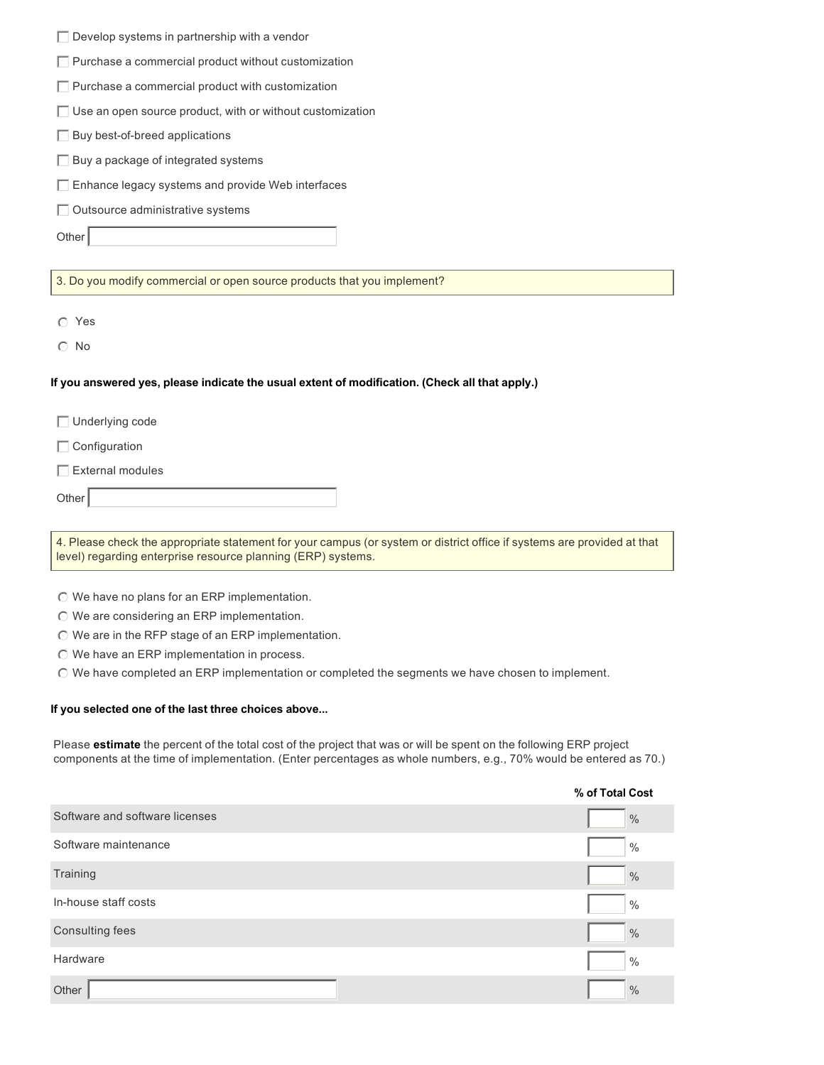| $\Box$ Purchase a commercial product without customization<br>$\Box$ Purchase a commercial product with customization<br>$\Box$ Use an open source product, with or without customization<br>$\Box$ Buy best-of-breed applications<br>$\Box$ Buy a package of integrated systems<br>$\Box$ Enhance legacy systems and provide Web interfaces<br>$\Box$ Outsource administrative systems<br>Other<br>3. Do you modify commercial or open source products that you implement?<br>◯ Yes<br>$\odot$ No<br>If you answered yes, please indicate the usual extent of modification. (Check all that apply.)<br>$\Box$ Underlying code |
|--------------------------------------------------------------------------------------------------------------------------------------------------------------------------------------------------------------------------------------------------------------------------------------------------------------------------------------------------------------------------------------------------------------------------------------------------------------------------------------------------------------------------------------------------------------------------------------------------------------------------------|
|                                                                                                                                                                                                                                                                                                                                                                                                                                                                                                                                                                                                                                |
|                                                                                                                                                                                                                                                                                                                                                                                                                                                                                                                                                                                                                                |
|                                                                                                                                                                                                                                                                                                                                                                                                                                                                                                                                                                                                                                |
|                                                                                                                                                                                                                                                                                                                                                                                                                                                                                                                                                                                                                                |
|                                                                                                                                                                                                                                                                                                                                                                                                                                                                                                                                                                                                                                |
|                                                                                                                                                                                                                                                                                                                                                                                                                                                                                                                                                                                                                                |
|                                                                                                                                                                                                                                                                                                                                                                                                                                                                                                                                                                                                                                |
|                                                                                                                                                                                                                                                                                                                                                                                                                                                                                                                                                                                                                                |
|                                                                                                                                                                                                                                                                                                                                                                                                                                                                                                                                                                                                                                |
|                                                                                                                                                                                                                                                                                                                                                                                                                                                                                                                                                                                                                                |
|                                                                                                                                                                                                                                                                                                                                                                                                                                                                                                                                                                                                                                |
|                                                                                                                                                                                                                                                                                                                                                                                                                                                                                                                                                                                                                                |
|                                                                                                                                                                                                                                                                                                                                                                                                                                                                                                                                                                                                                                |
|                                                                                                                                                                                                                                                                                                                                                                                                                                                                                                                                                                                                                                |
|                                                                                                                                                                                                                                                                                                                                                                                                                                                                                                                                                                                                                                |
|                                                                                                                                                                                                                                                                                                                                                                                                                                                                                                                                                                                                                                |
| $\Box$ Configuration                                                                                                                                                                                                                                                                                                                                                                                                                                                                                                                                                                                                           |
| $\Box$ External modules                                                                                                                                                                                                                                                                                                                                                                                                                                                                                                                                                                                                        |
| Other                                                                                                                                                                                                                                                                                                                                                                                                                                                                                                                                                                                                                          |
|                                                                                                                                                                                                                                                                                                                                                                                                                                                                                                                                                                                                                                |
| 4. Please check the appropriate statement for your campus (or system or district office if systems are provided at that<br>level) regarding enterprise resource planning (ERP) systems.                                                                                                                                                                                                                                                                                                                                                                                                                                        |
|                                                                                                                                                                                                                                                                                                                                                                                                                                                                                                                                                                                                                                |
|                                                                                                                                                                                                                                                                                                                                                                                                                                                                                                                                                                                                                                |
| ◯ We have no plans for an ERP implementation.<br>$\odot$ We are considering an ERP implementation.                                                                                                                                                                                                                                                                                                                                                                                                                                                                                                                             |
| © We are in the RFP stage of an ERP implementation.                                                                                                                                                                                                                                                                                                                                                                                                                                                                                                                                                                            |
| $\odot$ We have an ERP implementation in process.                                                                                                                                                                                                                                                                                                                                                                                                                                                                                                                                                                              |
| ◯ We have completed an ERP implementation or completed the segments we have chosen to implement.                                                                                                                                                                                                                                                                                                                                                                                                                                                                                                                               |
| If you selected one of the last three choices above                                                                                                                                                                                                                                                                                                                                                                                                                                                                                                                                                                            |

|                                | % of Total Cost |
|--------------------------------|-----------------|
| Software and software licenses | $\frac{0}{0}$   |
| Software maintenance           | $\frac{0}{0}$   |
| Training                       | $\frac{0}{0}$   |
| In-house staff costs           | $\frac{0}{0}$   |
| <b>Consulting fees</b>         | $\frac{0}{0}$   |
| Hardware                       | $\frac{0}{0}$   |
| Other                          | $\frac{0}{0}$   |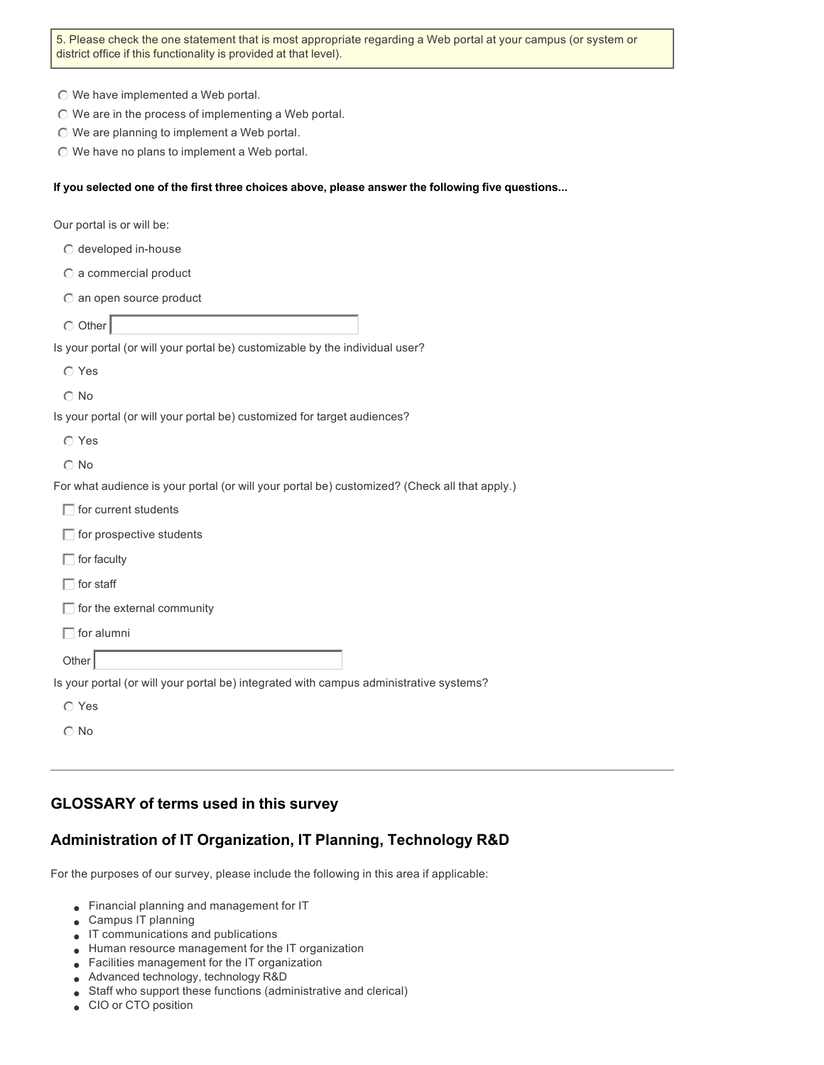5. Please check the one statement that is most appropriate regarding a Web portal at your campus (or system or district office if this functionality is provided at that level).

- $\odot$  We have implemented a Web portal.
- $\odot$  We are in the process of implementing a Web portal.
- $\odot$  We are planning to implement a Web portal.
- $\odot$  We have no plans to implement a Web portal.

#### **If you selected one of the first three choices above, please answer the following five questions...**

Our portal is or will be:

- $\odot$  developed in-house
- $\bigcirc$  a commercial product
- $\odot$  an open source product
- $\odot$  Other

Is your portal (or will your portal be) customizable by the individual user?

- $\odot$  Yes
- $\odot$  No

Is your portal (or will your portal be) customized for target audiences?

- $\circ$  Yes
- $\odot$  No

For what audience is your portal (or will your portal be) customized? (Check all that apply.)

|  |  | for current students |
|--|--|----------------------|
|--|--|----------------------|

- $\Box$  for prospective students
- $\Box$  for faculty
- $\Box$  for staff
- $\Box$  for the external community

 $\Box$  for alumni

**Other** 

Is your portal (or will your portal be) integrated with campus administrative systems?

 $\odot$  No

#### **GLOSSARY of terms used in this survey**

#### **Administration of IT Organization, IT Planning, Technology R&D**

For the purposes of our survey, please include the following in this area if applicable:

- **.** Financial planning and management for IT
- **Campus IT planning**
- $\blacksquare$  IT communications and publications
- Human resource management for the IT organization
- **•** Facilities management for the IT organization
- Advanced technology, technology R&D
- Staff who support these functions (administrative and clerical)
- CIO or CTO position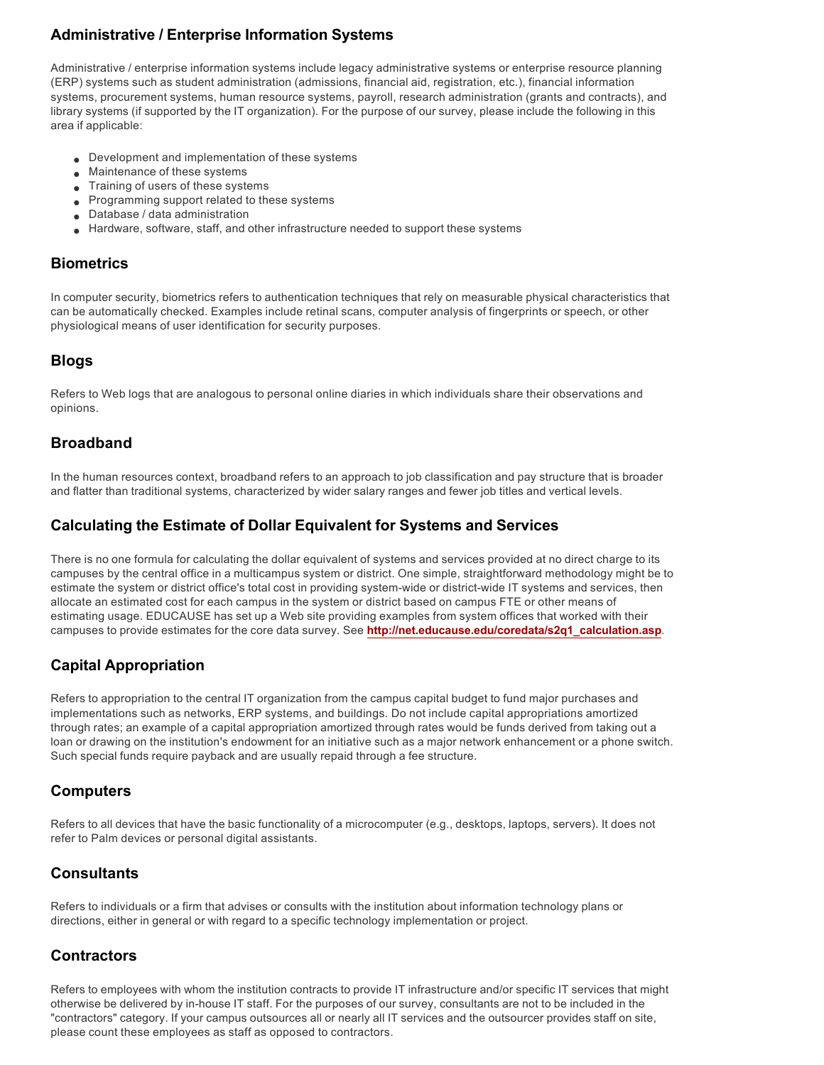# **Administrative / Enterprise Information Systems**

Administrative / enterprise information systems include legacy administrative systems or enterprise resource planning (ERP) systems such as student administration (admissions, financial aid, registration, etc.), financial information systems, procurement systems, human resource systems, payroll, research administration (grants and contracts), and library systems (if supported by the IT organization). For the purpose of our survey, please include the following in this area if applicable:

- **.** Development and implementation of these systems
- Maintenance of these systems
- Training of users of these systems
- Programming support related to these systems
- $\bullet$  Database / data administration
- $\bullet$  Hardware, software, staff, and other infrastructure needed to support these systems

#### **Biometrics**

In computer security, biometrics refers to authentication techniques that rely on measurable physical characteristics that can be automatically checked. Examples include retinal scans, computer analysis of fingerprints or speech, or other physiological means of user identification for security purposes.

# **Blogs**

Refers to Web logs that are analogous to personal online diaries in which individuals share their observations and opinions.

# **Broadband**

In the human resources context, broadband refers to an approach to job classification and pay structure that is broader and flatter than traditional systems, characterized by wider salary ranges and fewer job titles and vertical levels.

# **Calculating the Estimate of Dollar Equivalent for Systems and Services**

There is no one formula for calculating the dollar equivalent of systems and services provided at no direct charge to its campuses by the central office in a multicampus system or district. One simple, straightforward methodology might be to estimate the system or district office's total cost in providing system-wide or district-wide IT systems and services, then allocate an estimated cost for each campus in the system or district based on campus FTE or other means of estimating usage. EDUCAUSE has set up a Web site providing examples from system offices that worked with their campuses to provide estimates for the core data survey. See **http://net.educause.edu/coredata/s2q1\_calculation.asp**.

# **Capital Appropriation**

Refers to appropriation to the central IT organization from the campus capital budget to fund major purchases and implementations such as networks, ERP systems, and buildings. Do not include capital appropriations amortized through rates; an example of a capital appropriation amortized through rates would be funds derived from taking out a loan or drawing on the institution's endowment for an initiative such as a major network enhancement or a phone switch. Such special funds require payback and are usually repaid through a fee structure.

# **Computers**

Refers to all devices that have the basic functionality of a microcomputer (e.g., desktops, laptops, servers). It does not refer to Palm devices or personal digital assistants.

# **Consultants**

Refers to individuals or a firm that advises or consults with the institution about information technology plans or directions, either in general or with regard to a specific technology implementation or project.

# **Contractors**

Refers to employees with whom the institution contracts to provide IT infrastructure and/or specific IT services that might otherwise be delivered by inhouse IT staff. For the purposes of our survey, consultants are not to be included in the "contractors" category. If your campus outsources all or nearly all IT services and the outsourcer provides staff on site, please count these employees as staff as opposed to contractors.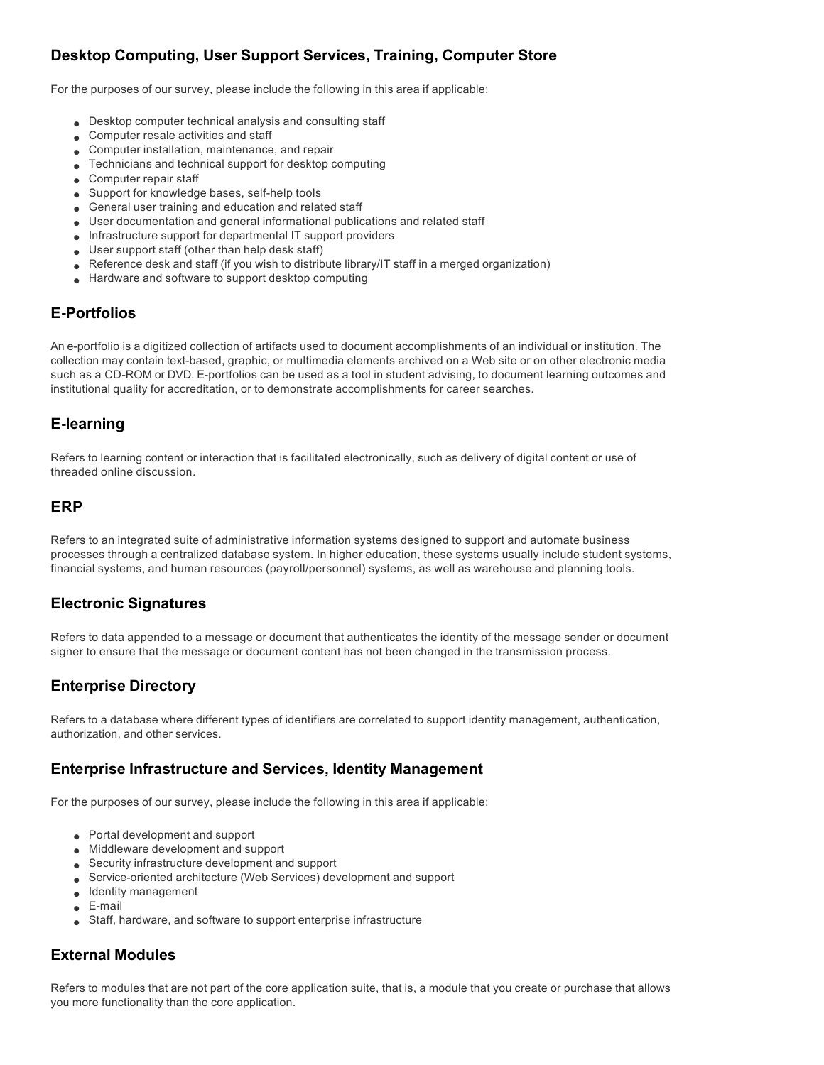# **Desktop Computing, User Support Services, Training, Computer Store**

For the purposes of our survey, please include the following in this area if applicable:

- **Desktop computer technical analysis and consulting staff**
- **.** Computer resale activities and staff
- $\bullet$  Computer installation, maintenance, and repair
- $\bullet$  Technicians and technical support for desktop computing
- $\bullet$  Computer repair staff
- $\bullet$  Support for knowledge bases, self-help tools
- **e** General user training and education and related staff
- User documentation and general informational publications and related staff
- <sup>l</sup> Infrastructure support for departmental IT support providers
- **Jean** User support staff (other than help desk staff)
- $\bullet$  Reference desk and staff (if you wish to distribute library/IT staff in a merged organization)
- Hardware and software to support desktop computing

# **E-Portfolios**

An e-portfolio is a digitized collection of artifacts used to document accomplishments of an individual or institution. The collection may contain text-based, graphic, or multimedia elements archived on a Web site or on other electronic media such as a CD-ROM or DVD. E-portfolios can be used as a tool in student advising, to document learning outcomes and institutional quality for accreditation, or to demonstrate accomplishments for career searches.

# **Elearning**

Refers to learning content or interaction that is facilitated electronically, such as delivery of digital content or use of threaded online discussion.

#### **ERP**

Refers to an integrated suite of administrative information systems designed to support and automate business processes through a centralized database system. In higher education, these systems usually include student systems, financial systems, and human resources (payroll/personnel) systems, as well as warehouse and planning tools.

# **Electronic Signatures**

Refers to data appended to a message or document that authenticates the identity of the message sender or document signer to ensure that the message or document content has not been changed in the transmission process.

# **Enterprise Directory**

Refers to a database where different types of identifiers are correlated to support identity management, authentication, authorization, and other services.

# **Enterprise Infrastructure and Services, Identity Management**

For the purposes of our survey, please include the following in this area if applicable:

- $\bullet$  Portal development and support
- **Middleware development and support**
- **.** Security infrastructure development and support
- **.** Service-oriented architecture (Web Services) development and support
- $\bullet$  Identity management
- $\bullet$  E-mail
- **Staff, hardware, and software to support enterprise infrastructure**

# **External Modules**

Refers to modules that are not part of the core application suite, that is, a module that you create or purchase that allows you more functionality than the core application.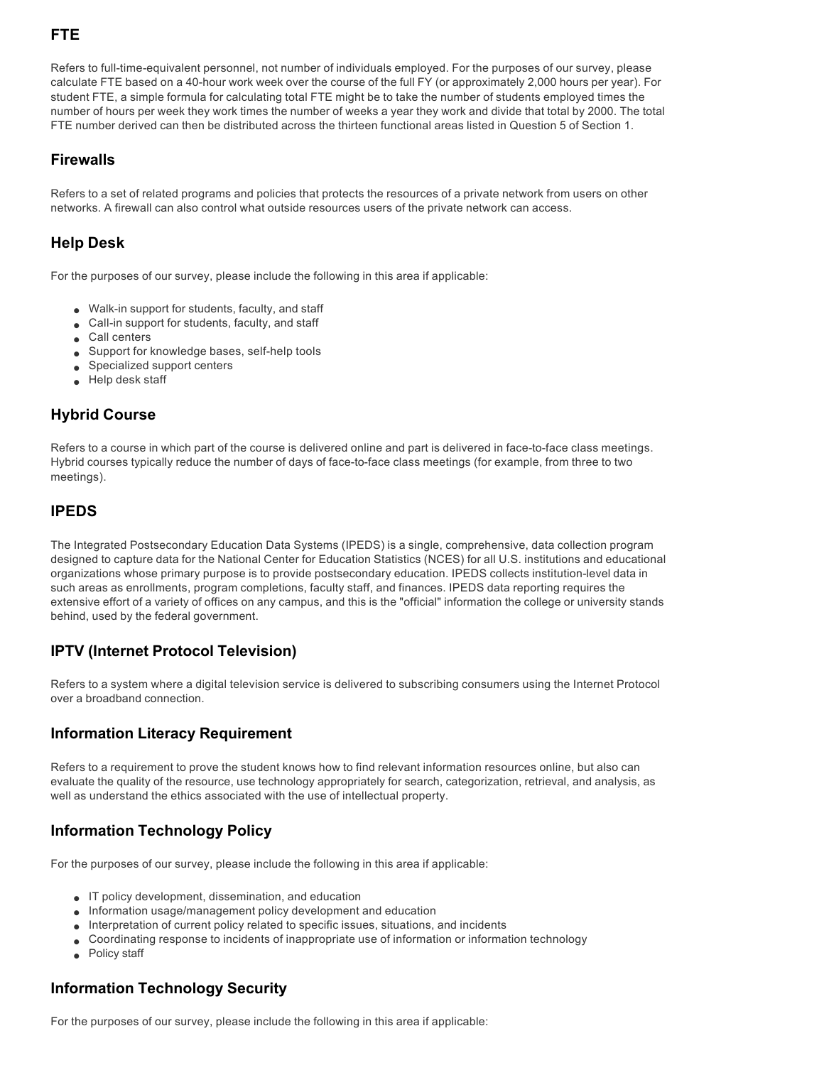# **FTE**

Refers to full-time-equivalent personnel, not number of individuals employed. For the purposes of our survey, please calculate FTE based on a 40hour work week over the course of the full FY (or approximately 2,000 hours per year). For student FTE, a simple formula for calculating total FTE might be to take the number of students employed times the number of hours per week they work times the number of weeks a year they work and divide that total by 2000. The total FTE number derived can then be distributed across the thirteen functional areas listed in Question 5 of Section 1.

# **Firewalls**

Refers to a set of related programs and policies that protects the resources of a private network from users on other networks. A firewall can also control what outside resources users of the private network can access.

# **Help Desk**

For the purposes of our survey, please include the following in this area if applicable:

- $\bullet$  Walk-in support for students, faculty, and staff
- $\bullet$  Call-in support for students, faculty, and staff
- $\bullet$  Call centers
- $\bullet$  Support for knowledge bases, self-help tools
- **s** Specialized support centers
- $\bullet$  Help desk staff

# **Hybrid Course**

Refers to a course in which part of the course is delivered online and part is delivered in face-to-face class meetings. Hybrid courses typically reduce the number of days of face-to-face class meetings (for example, from three to two meetings).

# **IPEDS**

The Integrated Postsecondary Education Data Systems (IPEDS) is a single, comprehensive, data collection program designed to capture data for the National Center for Education Statistics (NCES) for all U.S. institutions and educational organizations whose primary purpose is to provide postsecondary education. IPEDS collects institution-level data in such areas as enrollments, program completions, faculty staff, and finances. IPEDS data reporting requires the extensive effort of a variety of offices on any campus, and this is the "official" information the college or university stands behind, used by the federal government.

# **IPTV (Internet Protocol Television)**

Refers to a system where a digital television service is delivered to subscribing consumers using the Internet Protocol over a broadband connection.

# **Information Literacy Requirement**

Refers to a requirement to prove the student knows how to find relevant information resources online, but also can evaluate the quality of the resource, use technology appropriately for search, categorization, retrieval, and analysis, as well as understand the ethics associated with the use of intellectual property.

# **Information Technology Policy**

For the purposes of our survey, please include the following in this area if applicable:

- $\bullet$  IT policy development, dissemination, and education
- **Information usage/management policy development and education**
- $\bullet$  Interpretation of current policy related to specific issues, situations, and incidents
- <sup>l</sup> Coordinating response to incidents of inappropriate use of information or information technology
- Policy staff

# **Information Technology Security**

For the purposes of our survey, please include the following in this area if applicable: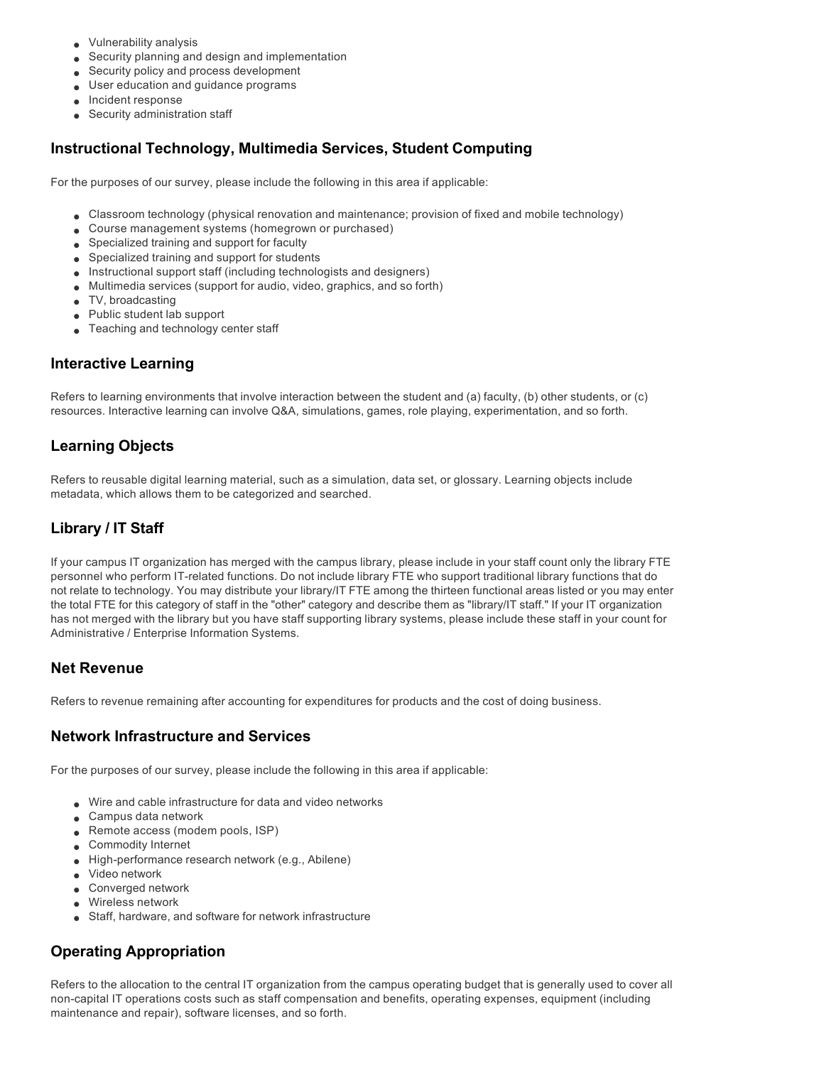- **.** Vulnerability analysis
- **Security planning and design and implementation**
- Security policy and process development
- **J** User education and guidance programs
- $\bullet$  Incident response
- **Security administration staff**

# **Instructional Technology, Multimedia Services, Student Computing**

For the purposes of our survey, please include the following in this area if applicable:

- <sup>l</sup> Classroom technology (physical renovation and maintenance; provision of fixed and mobile technology)
- Course management systems (homegrown or purchased)
- **Specialized training and support for faculty**
- **Specialized training and support for students**
- **Instructional support staff (including technologists and designers)**
- $\bullet$  Multimedia services (support for audio, video, graphics, and so forth)
- $\bullet$  TV, broadcasting
- $\bullet$  Public student lab support
- Teaching and technology center staff

#### **Interactive Learning**

Refers to learning environments that involve interaction between the student and (a) faculty, (b) other students, or (c) resources. Interactive learning can involve Q&A, simulations, games, role playing, experimentation, and so forth.

# **Learning Objects**

Refers to reusable digital learning material, such as a simulation, data set, or glossary. Learning objects include metadata, which allows them to be categorized and searched.

# **Library / IT Staff**

If your campus IT organization has merged with the campus library, please include in your staff count only the library FTE personnel who perform IT-related functions. Do not include library FTE who support traditional library functions that do not relate to technology. You may distribute your library/IT FTE among the thirteen functional areas listed or you may enter the total FTE for this category of staff in the "other" category and describe them as "library/IT staff." If your IT organization has not merged with the library but you have staff supporting library systems, please include these staff in your count for Administrative / Enterprise Information Systems.

#### **Net Revenue**

Refers to revenue remaining after accounting for expenditures for products and the cost of doing business.

# **Network Infrastructure and Services**

For the purposes of our survey, please include the following in this area if applicable:

- <sup>l</sup> Wire and cable infrastructure for data and video networks
- $\bullet$  Campus data network
- $\bullet$  Remote access (modem pools, ISP)
- **.** Commodity Internet
- $\bullet$  High-performance research network (e.g., Abilene)
- $\bullet$  Video network
- **.** Converged network
- $\bullet$  Wireless network
- **Staff, hardware, and software for network infrastructure**

# **Operating Appropriation**

Refers to the allocation to the central IT organization from the campus operating budget that is generally used to cover all noncapital IT operations costs such as staff compensation and benefits, operating expenses, equipment (including maintenance and repair), software licenses, and so forth.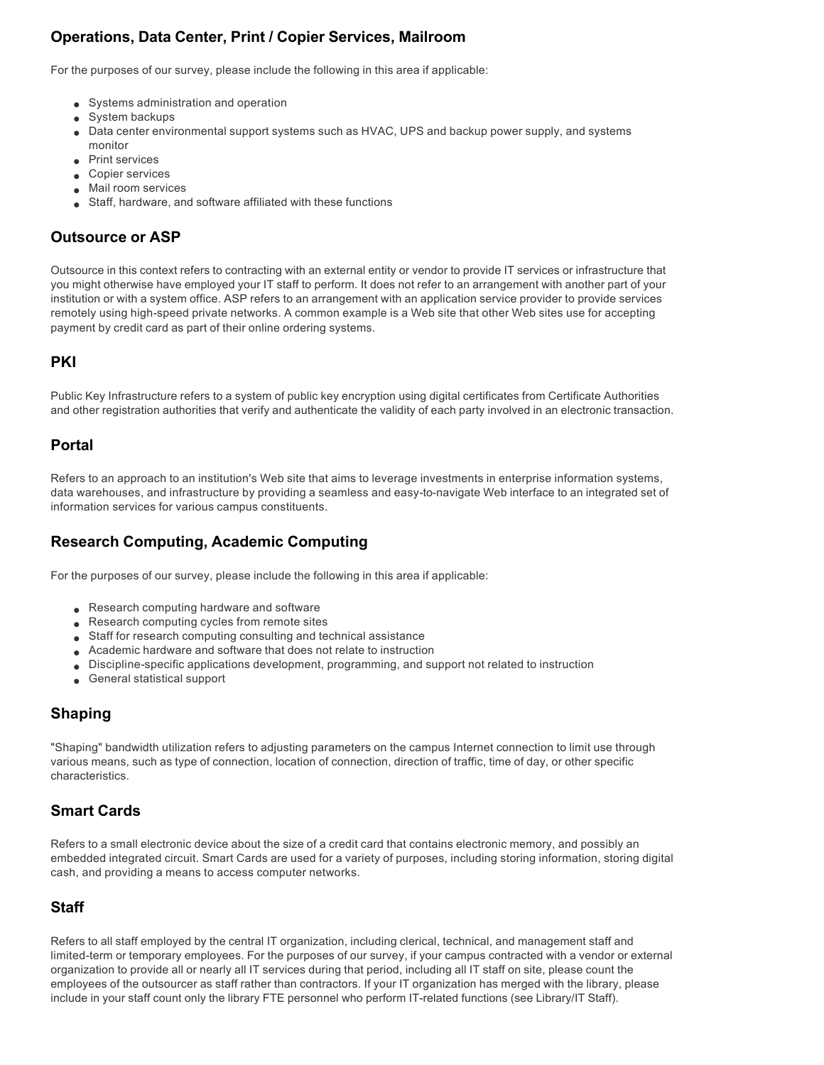# **Operations, Data Center, Print / Copier Services, Mailroom**

For the purposes of our survey, please include the following in this area if applicable:

- Systems administration and operation
- $\bullet$  System backups
- Data center environmental support systems such as HVAC, UPS and backup power supply, and systems monitor
- $\bullet$  Print services
- **Copier services**
- **Mail room services**
- Staff, hardware, and software affiliated with these functions

# **Outsource or ASP**

Outsource in this context refers to contracting with an external entity or vendor to provide IT services or infrastructure that you might otherwise have employed your IT staff to perform. It does not refer to an arrangement with another part of your institution or with a system office. ASP refers to an arrangement with an application service provider to provide services remotely using high-speed private networks. A common example is a Web site that other Web sites use for accepting payment by credit card as part of their online ordering systems.

#### **PKI**

Public Key Infrastructure refers to a system of public key encryption using digital certificates from Certificate Authorities and other registration authorities that verify and authenticate the validity of each party involved in an electronic transaction.

# **Portal**

Refers to an approach to an institution's Web site that aims to leverage investments in enterprise information systems, data warehouses, and infrastructure by providing a seamless and easy-to-navigate Web interface to an integrated set of information services for various campus constituents.

# **Research Computing, Academic Computing**

For the purposes of our survey, please include the following in this area if applicable:

- Research computing hardware and software
- Research computing cycles from remote sites
- Staff for research computing consulting and technical assistance
- Academic hardware and software that does not relate to instruction
- **Discipline-specific applications development, programming, and support not related to instruction**
- **e** General statistical support

# **Shaping**

"Shaping" bandwidth utilization refers to adjusting parameters on the campus Internet connection to limit use through various means, such as type of connection, location of connection, direction of traffic, time of day, or other specific characteristics.

# **Smart Cards**

Refers to a small electronic device about the size of a credit card that contains electronic memory, and possibly an embedded integrated circuit. Smart Cards are used for a variety of purposes, including storing information, storing digital cash, and providing a means to access computer networks.

# **Staff**

Refers to all staff employed by the central IT organization, including clerical, technical, and management staff and limited-term or temporary employees. For the purposes of our survey, if your campus contracted with a vendor or external organization to provide all or nearly all IT services during that period, including all IT staff on site, please count the employees of the outsourcer as staff rather than contractors. If your IT organization has merged with the library, please include in your staff count only the library FTE personnel who perform IT-related functions (see Library/IT Staff).